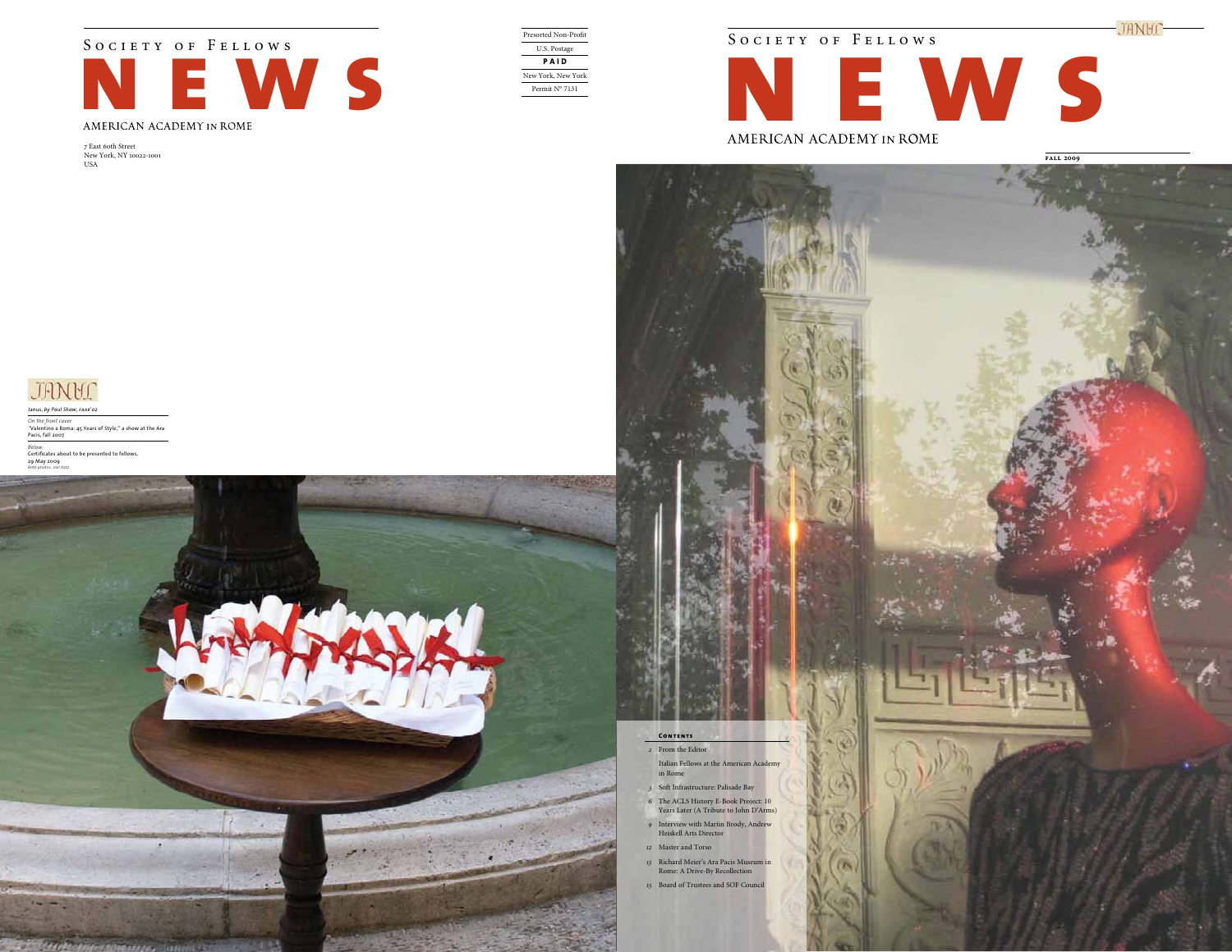fall 2009

**JANH** 

3 Soft Infrastructure: Palisade Bay 6 The ACLS History E-Book Project: 10

Presorted Non-Profit U.S. Postage **PAID**

SOCIETY OF FELLOWS





AMERICAN ACADEMY IN ROME SOCIETY OF FELLOWS

7 East 60th Street New York, NY 10022-1001 USA



#### Janus, *by Paul Shaw, faar*'*02 On the front cover: "*Valentino a Roma: 45 Years of Style," a show at the Ara Pacis, fall 2007 *Below:* Certificates about to be presented to fellows, 29 May 2009

*9* Interview with Martin Brody, Andrew

**11** Rome: A Drive-By Recollection 15 Board of Trustees and SOF Council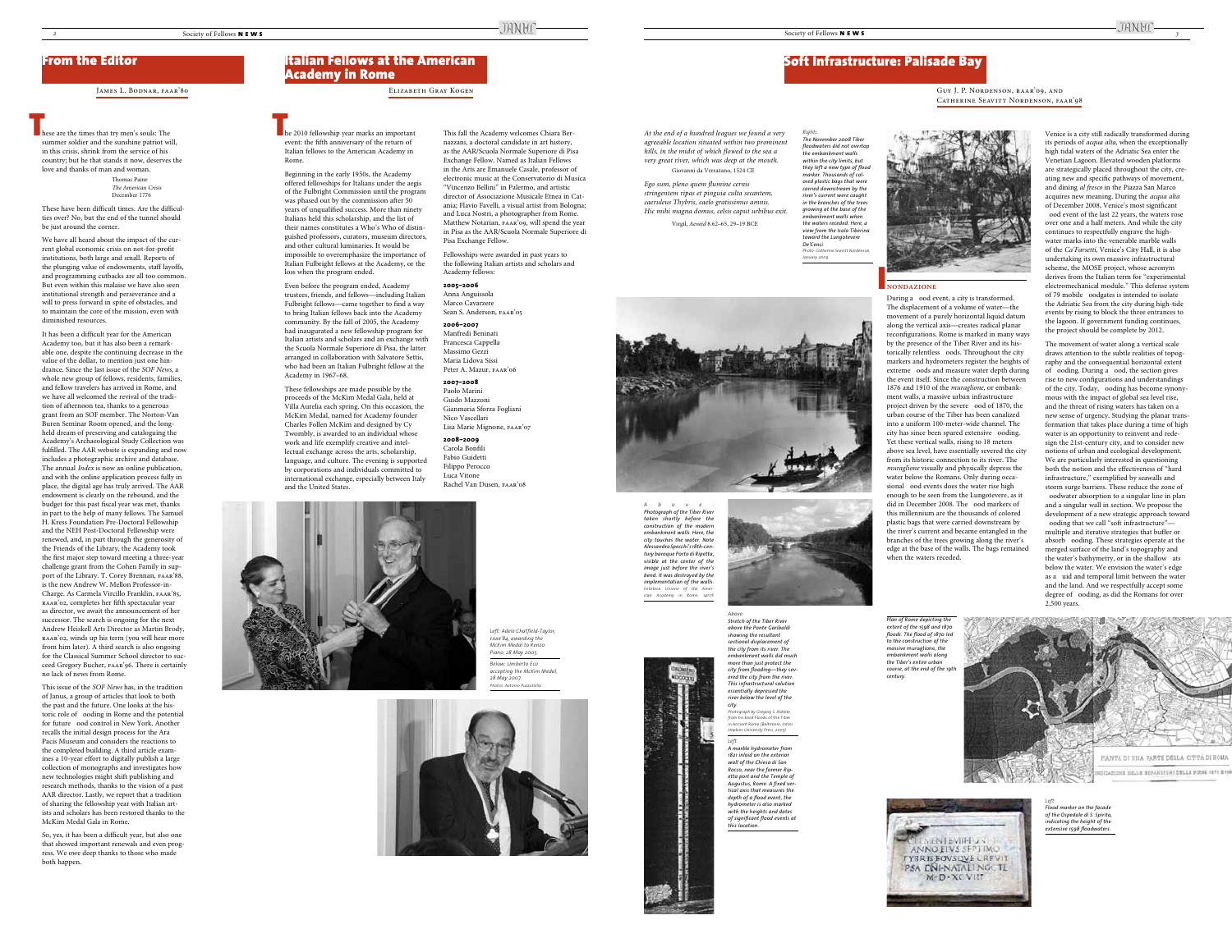he 2010 fellowship year marks an important event: the fifth anniversary of the return of Italian fellows to the American Academy in Rome.

Beginning in the early 1950s, the Academy offered fellowships for Italians under the aegis of the Fulbright Commission until the program was phased out by the commission after 50 years of unqualified success. More than ninety Italians held this scholarship, and the list of their names constitutes a Who's Who of distinguished professors, curators, museum directors, and other cultural luminaries. It would be impossible to overemphasize the importance of Italian Fulbright fellows at the Academy, or the loss when the program ended.

Even before the program ended, Academy trustees, friends, and fellows—including Italian Fulbright fellows—came together to find a way to bring Italian fellows back into the Academy community. By the fall of 2005, the Academy had inaugurated a new fellowship program for Italian artists and scholars and an exchange with the Scuola Normale Superiore di Pisa, the latter arranged in collaboration with Salvatore Settis, who had been an Italian Fulbright fellow at the Academy in 1967–68.

These fellowships are made possible by the proceeds of the McKim Medal Gala, held at Villa Aurelia each spring. On this occasion, the McKim Medal, named for Academy founder Charles Follen McKim and designed by Cy Twombly, is awarded to an individual whose work and life exemplify creative and intellectual exchange across the arts, scholarship, language, and culture. The evening is supported by corporations and individuals committed to international exchange, especially between Italy and the United States.

# Italian Fellows at the American Academy in Rome

Elizabeth Gray Kogen

 $\begin{bmatrix} 1 \end{bmatrix}$ 

*A b o v e : Photograph of the Tiber River taken shortly before the construction of the modern embankment walls. Here, the city touches the water. Note Alessandro Specchi's 18th-century baroque Porto di Ripetta, visible at the center of the image just before the river's bend. It was destroyed by the implementation of the walls. Fototeca Unione of the American Academy in Rome, 14111F*



During a f ood event, a city is transformed. The displacement of a volume of water—the movement of a purely horizontal liquid datum along the vertical axis—creates radical planar reconfigurations. Rome is marked in many ways by the presence of the Tiber River and its historically relentless f oods. Throughout the city markers and hydrometers register the heights of extreme f oods and measure water depth during the event itself. Since the construction between 1876 and 1910 of the *muraglione,* or embankment walls, a massive urban infrastructure project driven by the severe f ood of 1870, the urban course of the Tiber has been canalized into a uniform 100-meter-wide channel. The city has since been spared extensive f ooding. Yet these vertical walls, rising to 18 meters above sea level, have essentially severed the city from its historic connection to its river. The *muraglione* visually and physically depress the water below the Romans. Only during occasional f ood events does the water rise high enough to be seen from the Lungotevere, as it did in December 2008. The f ood markers of this millennium are the thousands of colored plastic bags that were carried downstream by the river's current and became entangled in the branches of the trees growing along the river's edge at the base of the walls. The bags remained when the waters receded.

*At the end of a hundred leagues we found a very agreeable location situated within two prominent hills, in the midst of which flowed to the sea a very great river, which was deep at the mouth.* Giovanni da Verrazano, 1524 CE

*Ego sum, pleno quem flumine cernis stringentem ripas et pinguia culta secantem, caeruleus Thybris, caelo gratissimus amnis. Hic mihi magna domus, celsis caput urbibus exit.* Virgil, *Aeneid* 8.62–65, 29–19 BCE

#### **nondazione**

Guy J. P. Nordenson, raar'09, and CATHERINE SEAVITT NORDENSON, FAAR'98

hese are the times that try men's souls: The summer soldier and the sunshine patriot will, in this crisis, shrink from the service of his country; but he that stands it now, deserves the love and thanks of man and woman. This fall the Academy welcomes Chiara Ber-<br>
This fall the Academy welcomes Chiara Ber-<br>
summer soldier and the sunshine patriot will,<br>
This fall the Academy welcomes Chiara Ber-<br>
event: the fifth anniversary of the return

Venice is a city still radically transformed during its periods of *acqua alta,* when the exceptionally high tidal waters of the Adriatic Sea enter the Venetian Lagoon. Elevated wooden platforms are strategically placed throughout the city, creating new and specific pathways of movement, and dining *al fresco* in the Piazza San Marco acquires new meaning. During the *acqua alta* of December 2008, Venice's most significant f ood event of the last 22 years, the waters rose over one and a half meters. And while the city continues to respectfully engrave the highwater marks into the venerable marble walls of the *Ca'Farsetti,* Venice's City Hall, it is also undertaking its own massive infrastructural scheme, the MOSE project, whose acronym derives from the Italian term for "experimental electromechanical module." This defense system of 79 mobile f oodgates is intended to isolate the Adriatic Sea from the city during high-tide events by rising to block the three entrances to the lagoon. If government funding continues, the project should be complete by 2012.

The movement of water along a vertical scale draws attention to the subtle realities of topography and the consequential horizontal extent of f ooding. During a f ood, the section gives rise to new configurations and understandings of the city. Today, f ooding has become synonymous with the impact of global sea level rise, and the threat of rising waters has taken on a new sense of urgency. Studying the planar transformation that takes place during a time of high water is an opportunity to reinvent and redesign the 21st-century city, and to consider new notions of urban and ecological development. We are particularly interested in questioning both the notion and the effectiveness of "hard infrastructure," exemplified by seawalls and storm surge barriers. These reduce the zone of f oodwater absorption to a singular line in plan and a singular wall in section. We propose the development of a new strategic approach toward f ooding that we call "soft infrastructure" multiple and iterative strategies that buffer or absorb f ooding. These strategies operate at the merged surface of the land's topography and the water's bathymetry, or in the shallow f ats below the water. We envision the water's edge as a f uid and temporal limit between the water and the land. And we respectfully accept some degree of f ooding, as did the Romans for over 2,500 years.



**2005–2006** Anna Anguissola Marco Cavarzere Sean S. Anderson, FAAR'05

**2006–2007** Manfredi Beninati Francesca Cappella Massimo Gezzi Maria Lidova Sissi Peter A. Mazur, FAAR'06

**2007–2008** Paolo Marini Guido Mazzoni Gianmaria Sforza Fogliani Nico Vascellari Lisa Marie Mignone, FAAR'07

*Plan of Rome depicting the extent of the 1598 and 1870 floods. The flood of 1870 led to the construction of the massive* muraglione*, the embankment walls along the Tiber's entire urban course, at the end of the 19th century.*





*Above: Stretch of the Tiber River above the Ponte Garibaldi showing the resultant sectional displacement of the city from its river. The embankment walls did much more than just protect the city from flooding—they severed the city from the river. This infrastructural solution essentially depressed the river below the level of the city.*

*Photograph by Gregory S. Aldrete,*  from his book Floods of the Tiber in Ancient Rome *(Baltimore: Johns Hopkins University Press, 2007)*

*Left:* 

*A marble hydrometer from 1821 inlaid on the exterior wall of the Chiesa di San Rocco, near the former Ripetta port and the Temple of Augustus, Rome. A fixed vertical axis that measures the depth of a flood event, the hydrometer is also marked with the heights and dates of significant flood events at this location.*

*Right***:**

*The November 2008 Tiber* 

*floodwaters did not overtop the embankment walls within the city limits, but they left a new type of flood marker. Thousands of colored plastic bags that were carried downstream by the river's current were caught in the branches of the trees growing at the base of the embankment walls when the waters receded. Here, a view from the Isola Tiberina toward the Lungotevere De'Cenci. Photo: Catherine Seavitt Norder January 2009*

# From the Editor

#### JAMES L. BODNAR, FAAR'80

Thomas Paine *The American Crisis*  December 1776

These have been difficult times. Are the difficulties over? No, but the end of the tunnel should be just around the corner.

We have all heard about the impact of the current global economic crisis on not-for-profit institutions, both large and small. Reports of the plunging value of endowments, staff layoffs, and programming cutbacks are all too common. But even within this malaise we have also seen institutional strength and perseverance and a will to press forward in spite of obstacles, and to maintain the core of the mission, even with diminished resources.

It has been a difficult year for the American Academy too, but it has also been a remarkable one, despite the continuing decrease in the value of the dollar, to mention just one hindrance. Since the last issue of the *SOF News*, a whole new group of fellows, residents, families, and fellow travelers has arrived in Rome, and we have all welcomed the revival of the tradition of afternoon tea, thanks to a generous grant from an SOF member. The Norton-Van Buren Seminar Room opened, and the longheld dream of preserving and cataloguing the Academy's Archaeological Study Collection was fulfilled. The AAR website is expanding and now includes a photographic archive and database. The annual *Index* is now an online publication, and with the online application process fully in place, the digital age has truly arrived. The AAR endowment is clearly on the rebound, and the budget for this past fiscal year was met, thanks in part to the help of many fellows. The Samuel H. Kress Foundation Pre-Doctoral Fellowship and the NEH Post-Doctoral Fellowship were renewed, and, in part through the generosity of the Friends of the Library, the Academy took the first major step toward meeting a three-year challenge grant from the Cohen Family in support of the Library. T. Corey Brennan, FAAR'88, is the new Andrew W. Mellon Professor-in-Charge. As Carmela Vircillo Franklin, faar'85, raar'02, completes her fifth spectacular year as director, we await the announcement of her successor. The search is ongoing for the next Andrew Heiskell Arts Director as Martin Brody, raar'02, winds up his term (you will hear more from him later). A third search is also ongoing for the Classical Summer School director to succeed Gregory Bucher, faar'96. There is certainly no lack of news from Rome.

This issue of the *SOF News* has, in the tradition of Janus, a group of articles that look to both the past and the future. One looks at the historic role of f ooding in Rome and the potential for future f ood control in New York. Another recalls the initial design process for the Ara Pacis Museum and considers the reactions to the completed building. A third article examines a 10-year effort to digitally publish a large collection of monographs and investigates how new technologies might shift publishing and research methods, thanks to the vision of a past AAR director. Lastly, we report that a tradition of sharing the fellowship year with Italian artists and scholars has been restored thanks to the McKim Medal Gala in Rome.

So, yes, it has been a difficult year, but also one that showed important renewals and even progress. We owe deep thanks to those who made both happen.

nazzani, a doctoral candidate in art history, as the AAR/Scuola Normale Superiore di Pisa Exchange Fellow. Named as Italian Fellows in the Arts are Emanuele Casale, professor of electronic music at the Conservatorio di Musica "Vincenzo Bellini" in Palermo, and artistic director of Associazione Musicale Etnea in Catania; Flavio Favelli, a visual artist from Bologna; and Luca Nostri, a photographer from Rome. Matthew Notarian, FAAR'09, will spend the year in Pisa as the AAR/Scuola Normale Superiore di Pisa Exchange Fellow.

Fellowships were awarded in past years to the following Italian artists and scholars and Academy fellows:

**2008–2009** Carola Bonfili Fabio Guidetti Filippo Perocco Luca Vitone Rachel Van Dusen, faar'08



*Left: Flood marker on the facade of the Ospedale di S. Spirito, indicating the height of the extensive 1598 floodwaters.*



*Left: Adele Chatfield-Taylor, faar'84, awarding the McKim Medal to Renzo Piano, 28 May 2005. Below: Umberto Eco accepting the McKim Medal, 28 May 2007. Photos: Antonio Puzzutiello*



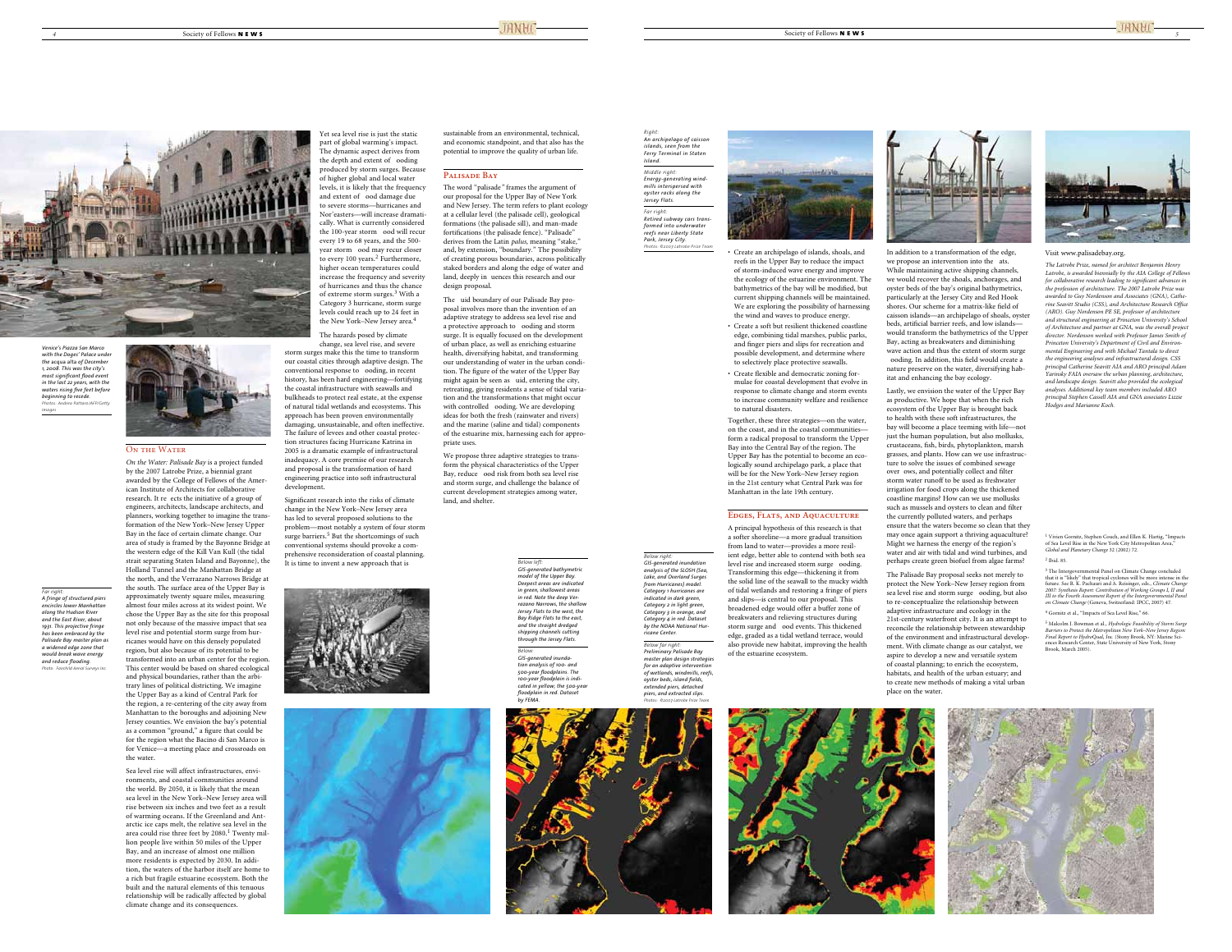

*Venice's Piazza San Marco with the Doges' Palace under the* acqua alta *of December 1, 2008. This was the city's most significant flood event in the last 22 years, with the waters rising five feet before beginning to recede. Photos: Andrea Pattaro/AFP/Getty Images*

> *On the Water: Palisade Bay* is a project funded by the 2007 Latrobe Prize, a biennial grant awarded by the College of Fellows of the American Institute of Architects for collaborative research. It ref ects the initiative of a group of engineers, architects, landscape architects, and planners, working together to imagine the transformation of the New York–New Jersey Upper Bay in the face of certain climate change. Our area of study is framed by the Bayonne Bridge at the western edge of the Kill Van Kull (the tidal strait separating Staten Island and Bayonne), the Holland Tunnel and the Manhattan Bridge at the north, and the Verrazano Narrows Bridge at the south. The surface area of the Upper Bay is approximately twenty square miles, measuring almost four miles across at its widest point. We chose the Upper Bay as the site for this proposal not only because of the massive impact that sea level rise and potential storm surge from hurricanes would have on this densely populated region, but also because of its potential to be transformed into an urban center for the region. This center would be based on shared ecological and physical boundaries, rather than the arbitrary lines of political districting. We imagine the Upper Bay as a kind of Central Park for the region, a re-centering of the city away from Manhattan to the boroughs and adjoining New Jersey counties. We envision the bay's potential as a common "ground," a figure that could be for the region what the Bacino di San Marco is for Venice—a meeting place and crossroads on the water.

The fuid boundary of our Palisade Bay proposal involves more than the invention of an adaptive strategy to address sea level rise and a protective approach to f ooding and storm surge. It is equally focused on the development of urban place, as well as enriching estuarine health, diversifying habitat, and transforming our understanding of water in the urban condition. The figure of the water of the Upper Bay might again be seen as f uid, entering the city, retreating, giving residents a sense of tidal variation and the transformations that might occur with controlled f ooding. We are developing ideas for both the fresh (rainwater and rivers) and the marine (saline and tidal) components of the estuarine mix, harnessing each for appropriate uses.

Yet sea level rise is just the static part of global warming's impact. The dynamic aspect derives from the depth and extent of f ooding produced by storm surges. Because of higher global and local water levels, it is likely that the frequency and extent of f ood damage due to severe storms—hurricanes and Nor'easters—will increase dramatically. What is currently considered the 100-year storm f ood will recur every 19 to 68 years, and the 500 year storm f ood may recur closer to every 100 years.<sup>2</sup> Furthermore, higher ocean temperatures could increase the frequency and severity of hurricanes and thus the chance of extreme storm surges.3 With a Category 3 hurricane, storm surge levels could reach up to 24 feet in the New York–New Jersey area.<sup>4</sup>

Sea level rise will affect infrastructures, environments, and coastal communities around the world. By 2050, it is likely that the mean sea level in the New York–New Jersey area will rise between six inches and two feet as a result of warming oceans. If the Greenland and Antarctic ice caps melt, the relative sea level in the area could rise three feet by  $2080$ .<sup>1</sup> Twenty million people live within 50 miles of the Upper Bay, and an increase of almost one million more residents is expected by 2030. In addition, the waters of the harbor itself are home to a rich but fragile estuarine ecosystem. Both the built and the natural elements of this tenuous relationship will be radically affected by global climate change and its consequences.

sustainable from an environmental, technical, and economic standpoint, and that also has the potential to improve the quality of urban life.

#### **Palisade Bay**

The word "palisade*"* frames the argument of our proposal for the Upper Bay of New York and New Jersey. The term refers to plant ecology at a cellular level (the palisade cell), geological formations (the palisade sill), and man-made fortifications (the palisade fence). "Palisade" derives from the Latin *palus,* meaning "stake*,*" and, by extension, "boundary*.*" The possibility of creating porous boundaries, across politically staked borders and along the edge of water and land, deeply influences this research and our design proposal.

We propose three adaptive strategies to transform the physical characteristics of the Upper Bay, reduce f ood risk from both sea level rise and storm surge, and challenge the balance of current development strategies among water, land, and shelter.

The hazards posed by climate change, sea level rise, and severe storm surges make this the time to transform

our coastal cities through adaptive design. The conventional response to f ooding, in recent history, has been hard engineering—fortifying the coastal infrastructure with seawalls and bulkheads to protect real estate, at the expense of natural tidal wetlands and ecosystems. This approach has been proven environmentally damaging, unsustainable, and often ineffective. The failure of levees and other coastal protection structures facing Hurricane Katrina in 2005 is a dramatic example of infrastructural inadequacy. A core premise of our research and proposal is the transformation of hard engineering practice into soft infrastructural development.

> <sup>1</sup> Vivien Gornitz, Stephen Couch, and Ellen K. Hartig, "Impacts of Sea Level Rise in the New York City Metropolitan Area," *Global and Planetary Change* 32 (2002) 72.

<sup>3</sup> The Intergovernmental Panel on Climate Change concluded that it is "likely" that tropical cyclones will be more intense in the future. See R. K. Pachauri and A. Reisinger, eds., *Climate Change 2007: Synthesis Report: Contribution of Working Groups I, II and III to the Fourth Assessment Report of the Intergovernmental Panel on Climate Change* (Geneva, Switzerland: IPCC, 2007) 47.

<sup>4</sup> Gornitz et al., "Impacts of Sea Level Rise," 66.

Significant research into the risks of climate change in the New York–New Jersey area has led to several proposed solutions to the problem—most notably a system of four storm surge barriers.<sup>5</sup> But the shortcomings of such conventional systems should provoke a comprehensive reconsideration of coastal planning. It is time to invent a new approach that is





- Create an archipelago of islands, shoals, and reefs in the Upper Bay to reduce the impact of storm-induced wave energy and improve the ecology of the estuarine environment. The bathymetrics of the bay will be modified, but current shipping channels will be maintained. We are exploring the possibility of harnessing the wind and waves to produce energy.
- Create a soft but resilient thickened coastline edge, combining tidal marshes, public parks, and finger piers and slips for recreation and possible development, and determine where to selectively place protective seawalls.
- Create flexible and democratic zoning formulae for coastal development that evolve in response to climate change and storm events to increase community welfare and resilience to natural disasters.

Together, these three strategies—on the water, on the coast, and in the coastal communities form a radical proposal to transform the Upper Bay into the Central Bay of the region. The Upper Bay has the potential to become an ecologically sound archipelago park, a place that will be for the New York–New Jersey region in the 21st century what Central Park was for Manhattan in the late 19th century.

#### **Edges, Flats, and Aquaculture**

A principal hypothesis of this research is that a softer shoreline—a more gradual transition from land to water—provides a more resilient edge, better able to contend with both sea level rise and increased storm surge f ooding. Transforming this edge—thickening it from the solid line of the seawall to the mucky width of tidal wetlands and restoring a fringe of piers and slips—is central to our proposal. This broadened edge would offer a buffer zone of breakwaters and relieving structures during storm surge and f ood events. This thickened edge, graded as a tidal wetland terrace, would also provide new habitat, improving the health of the estuarine ecosystem.



In addition to a transformation of the edge, we propose an intervention into the f ats. While maintaining active shipping channels, we would recover the shoals, anchorages, and oyster beds of the bay's original bathymetrics, particularly at the Jersey City and Red Hook shores. Our scheme for a matrix-like field of caisson islands—an archipelago of shoals, oyster beds, artificial barrier reefs, and low islands would transform the bathymetrics of the Upper Bay, acting as breakwaters and diminishing wave action and thus the extent of storm surge f ooding. In addition, this field would create a nature preserve on the water, diversifying habitat and enhancing the bay ecology.

Lastly, we envision the water of the Upper Bay as productive. We hope that when the rich ecosystem of the Upper Bay is brought back to health with these soft infrastructures, the bay will become a place teeming with life—not just the human population, but also mollusks, crustaceans, fish, birds, phytoplankton, marsh grasses, and plants. How can we use infrastructure to solve the issues of combined sewage overf ows, and potentially collect and filter storm water runoff to be used as freshwater irrigation for food crops along the thickened coastline margins? How can we use mollusks such as mussels and oysters to clean and filter the currently polluted waters, and perhaps ensure that the waters become so clean that they may once again support a thriving aquaculture? Might we harness the energy of the region's water and air with tidal and wind turbines, and perhaps create green biofuel from algae farms?

The Palisade Bay proposal seeks not merely to protect the New York–New Jersey region from sea level rise and storm surge f ooding, but also to re-conceptualize the relationship between adaptive infrastructure and ecology in the 21st-century waterfront city. It is an attempt to reconcile the relationship between stewardship of the environment and infrastructural development. With climate change as our catalyst, we aspire to develop a new and versatile system of coastal planning; to enrich the ecosystem, habitats, and health of the urban estuary; and to create new methods of making a vital urban place on the water.



Visit www.palisadebay.org.

*The Latrobe Prize, named for architect Benjamin Henry Latrobe, is awarded biennially by the AIA College of Fellows for collaborative research leading to significant advances in the profession of architecture. The 2007 Latrobe Prize was awarded to Guy Nordenson and Associates (GNA), Catherine Seavitt Studio (CSS), and Architecture Research Office (ARO). Guy Nordenson PE SE, professor of architecture and structural engineering at Princeton University's School of Architecture and partner at GNA, was the overall project director. Nordenson worked with Professor James Smith of Princeton University's Department of Civil and Environmental Engineering and with Michael Tantala to direct the engineering analyses and infrastructural design. CSS principal Catherine Seavitt AIA and ARO principal Adam Yarinsky FAIA oversaw the urban planning, architecture, and landscape design. Seavitt also provided the ecological analyses. Additional key team members included ARO principal Stephen Cassell AIA and GNA associates Lizzie Hodges and Marianne Koch.*

#### 2 Ibid. 85.

5 Malcolm J. Bowman et al., *Hydrologic Feasibility of Storm Surge Barriers to Protect the Metropolitan New York–New Jersey Region: Final Report to HydroQual, Inc.* (Stony Brook, NY: Marine Sciences Research Center, State University of New York, Stony Brook, March 2005).





*Below right: GIS-generated inundation analysis of the SLOSH (Sea, Lake, and Overland Surges from Hurricanes) model. Category 1 hurricanes are indicated in dark green, Category 2 in light green, Category 3 in orange, and Category 4 in red. Dataset by the NOAA National Hurricane Center.*

*Below far right: Preliminary Palisade Bay master plan design strategies for an adaptive intervention of wetlands, windmills, reefs, oyster beds, island fields, extended piers, detached piers, and extracted slips. Photos: ©2007 Latrobe Prize Team*



*Below left: GIS-generated bathymetric model of the Upper Bay. Deepest areas are indicated in green, shallowest areas in red. Note the deep Verrazano Narrows, the shallow Jersey Flats to the west, the Bay Ridge Flats to the east, and the straight dredged shipping channels cutting through the Jersey Flats.* 

*Below: GIS-generated inundation analysis of 100- and 500-year floodplains. The 100-year floodplain is indicated in yellow; the 500-year floodplain in red. Dataset by FEMA.*

*Far right:* 



## ON THE WATER

*A fringe of structured piers encircles lower Manhattan along the Hudson River and the East River, about 1931. This projective fringe has been embraced by the Palisade Bay master plan as a widened edge zone that would break wave energy and reduce flooding. Photo: Fairchild Aerial Surveys Inc.*

*Right:*

*An archipelago of caisson islands, seen from the* 

*Island. Middle right:*

*Jersey Flats. Far right:*

*Retired subway cars transformed into underwater reefs near Liberty State Park, Jersey City. Photos: ©2007 Latrobe Prize Team*

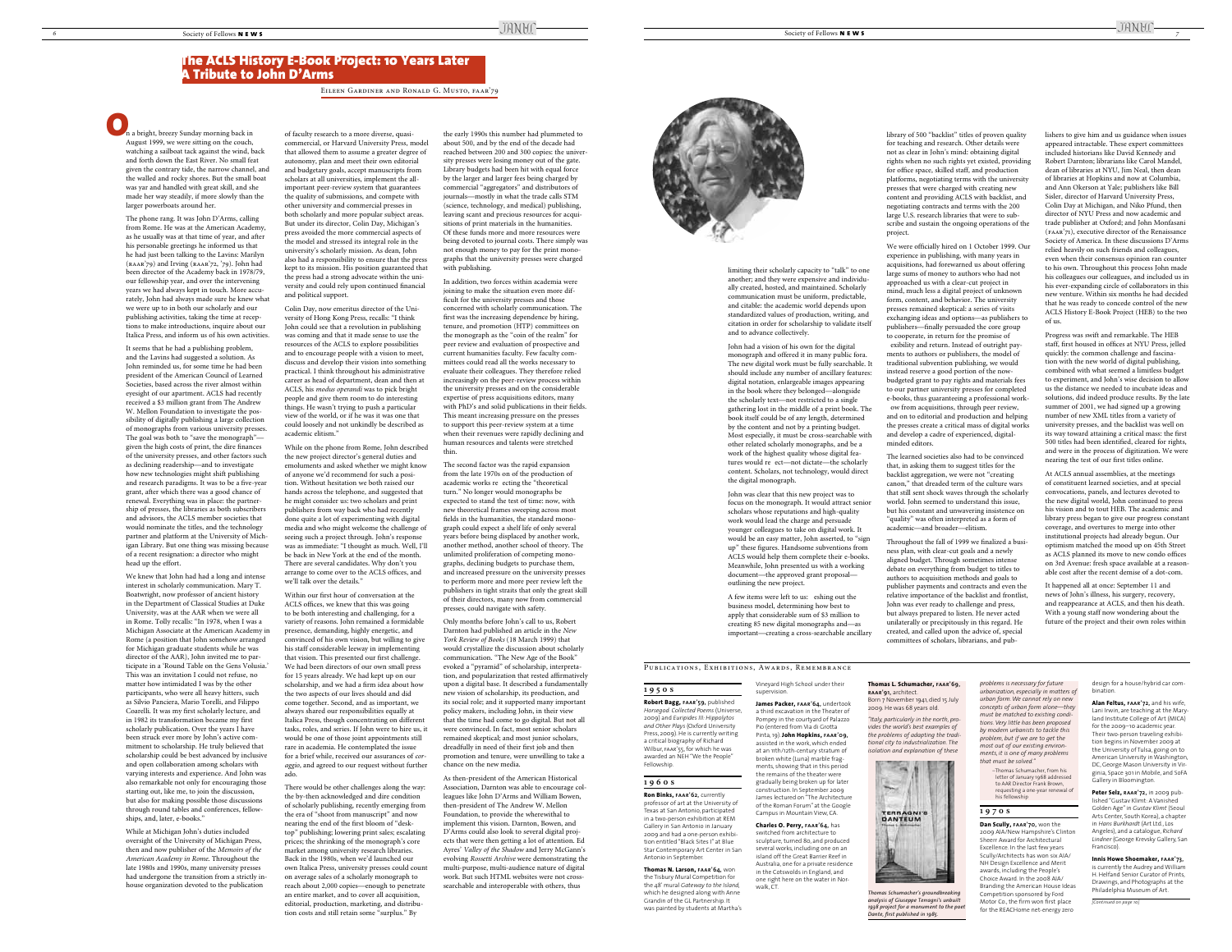## **1950s**

**Robert Bagg, faar'59,** published

*Horsegod: Collected Poems* (Universe, 2009) and *Euripides III: Hippolytos and Other Plays* (Oxford University Press, 2009). He is currently writing a critical biography of Richard Wilbur, FAAR'55, for which he was awarded an NEH "We the People" Fellowship.

## **1960s**

**Ron Binks, faar'62,** currently

professor of art at the University of Texas at San Antonio, participated in a two-person exhibition at REM Gallery in San Antonio in January 2009 and had a one-person exhibition entitled "Black Sites I" at Blue Star Contemporary Art Center in San Antonio in September.

**Thomas N. Larson, faar'64,** won the Tisbury Mural Competition for the 48' mural *Gateway to the Island,*  which he designed along with Anne Grandin of the GL Partnership. It was painted by students at Martha's Vineyard High School under their supervision.

**James Packer, faar'64,** undertook a third excavation in the Theater of Pompey in the courtyard of Palazzo Pio (entered from Via di Grotta Pinta, 19). **John Hopkins, faar'09,** assisted in the work, which ended at an 11th/12th-century stratum of broken white (Luna) marble fragments, showing that in this period the remains of the theater were gradually being broken up for later construction. In September 2009 James lectured on "The Architecture of the Roman Forum" at the Google Campus in Mountain View, CA. **Charles O. Perry, faar'64,** has switched from architecture to sculpture, turned 80, and produced several works, including one on an island off the Great Barrier Reef in Australia, one for a private residence in the Cotswolds in England, and one right here on the water in Nor-

walk, CT.

**Thomas L. Schumacher, faar'69, raar'91,** architect. Born 7 November 1941, died 15 July

2009. He was 68 years old. *"Italy, particularly in the north, provides the world's best examples of the problems of adapting the traditional city to industrialization. The* 



*Thomas Schumacher's groundbreaking analysis of Giuseppe Terragni's unbuilt 1938 project for a monument to the poet Dante, first published in 1985.*

*problems is necessary for future urbanization, especially in matters of urban form. We cannot rely on new concepts of urban form alone—they must be matched to existing conditions. Very little has been proposed by modern urbanists to tackle this problem, but if we are to get the most out of our existing environments, it is one of many problems that must be solved."*

–Thomas Schumacher, from his letter of January 1968 addressed to AAR Director Frank Brown, requesting a one-year renewal of his fellowship

#### **1970s**

**Dan Scully, faar'70,** won the 2009 AIA/New Hampshire's Clinton Sheerr Award for Architectural Excellence. In the last few years Scully/Architects has won six AIA/ NH Design Excellence and Merit awards, including the People's Choice Award. In the 2008 AIA/ Branding the American House Ideas Competition sponsored by Ford Motor Co., the firm won first place for the REACHome net-energy zero

design for a house/hybrid car combination.

**Alan Feltus, faar'72,** and his wife, Lani Irwin, are teaching at the Maryland Institute College of Art (MICA) for the 2009–10 academic year. Their two-person traveling exhibition begins in November 2009 at the University of Tulsa, going on to American University in Washington, DC, George Mason University in Virginia, Space 301 in Mobile, and SoFA Gallery in Bloomington.

**Peter Selz, raar'72,** in 2009 published "Gustav Klimt: A Vanished Golden Age" in *Gustav Klimt* (Seoul Arts Center, South Korea), a chapter in *Hans Burkhardt* (Art Ltd., Los Angeles), and a catalogue, *Richard Lindner* (George Krevsky Gallery, San Francisco).

**Innis Howe Shoemaker, faar'73,**  is currently the Audrey and William H. Helfand Senior Curator of Prints, Drawings, and Photographs at the Philadelphia Museum of Art.

*[Continued on page 10]*

n a bright, breezy Sunday morning back in **Compared to the countries of the couch of the couch of the couch,** watching a sailboat tack against the wind, back and forth down the East River. No small feat given the contrary tide, the narrow channel, and the walled and rocky shores. But the small boat was yar and handled with great skill, and she made her way steadily, if more slowly than the larger powerboats around her.

The phone rang. It was John D'Arms, calling from Rome. He was at the American Academy, as he usually was at that time of year, and after his personable greetings he informed us that he had just been talking to the Lavins: Marilyn  $(RAAR<sup>2</sup>79)$  and Irving  $(RAAR<sup>2</sup>72, <sup>2</sup>79)$ . John had been director of the Academy back in 1978/79, our fellowship year, and over the intervening years we had always kept in touch. More accurately, John had always made sure he knew what we were up to in both our scholarly and our publishing activities, taking the time at receptions to make introductions, inquire about our Italica Press, and inform us of his own activities*.*

It seems that he had a publishing problem, and the Lavins had suggested a solution. As John reminded us, for some time he had been president of the American Council of Learned Societies, based across the river almost within eyesight of our apartment. ACLS had recently received a \$3 million grant from The Andrew W. Mellon Foundation to investigate the possibility of digitally publishing a large collection of monographs from various university presses. The goal was both to "save the monograph" given the high costs of print, the dire finances of the university presses, and other factors such as declining readership—and to investigate how new technologies might shift publishing and research paradigms. It was to be a five-year grant, after which there was a good chance of renewal. Everything was in place: the partnership of presses, the libraries as both subscribers and advisors, the ACLS member societies that would nominate the titles, and the technology partner and platform at the University of Michigan Library. But one thing was missing because of a recent resignation: a director who might head up the effort.

We knew that John had had a long and intense interest in scholarly communication. Mary T. Boatwright, now professor of ancient history in the Department of Classical Studies at Duke University, was at the AAR when we were all in Rome. Tolly recalls: "In 1978, when I was a Michigan Associate at the American Academy in Rome (a position that John somehow arranged for Michigan graduate students while he was director of the AAR), John invited me to participate in a 'Round Table on the Gens Volusia.' This was an invitation I could not refuse, no matter how intimidated I was by the other participants, who were all heavy hitters, such as Silvio Panciera, Mario Torelli, and Filippo Coarelli. It was my first scholarly lecture, and in 1982 its transformation became my first scholarly publication. Over the years I have been struck ever more by John's active commitment to scholarship. He truly believed that scholarship could be best advanced by inclusive and open collaboration among scholars with varying interests and experience. And John was also remarkable not only for encouraging those starting out, like me, to join the discussion, but also for making possible those discussions through round tables and conferences, fellowships, and, later, e-books."

While at Michigan John's duties included oversight of the University of Michigan Press, then and now publisher of the *Memoirs of the American Academy in Rome*. Throughout the late 1980s and 1990s, many university presses had undergone the transition from a strictly inhouse organization devoted to the publication

the early 1990s this number had plummeted to about 500, and by the end of the decade had reached between 200 and 300 copies: the university presses were losing money out of the gate. Library budgets had been hit with equal force by the larger and larger fees being charged by commercial "aggregators" and distributors of journals—mostly in what the trade calls STM (science, technology, and medical) publishing, leaving scant and precious resources for acquisitions of print materials in the humanities. Of these funds more and more resources were being devoted to journal costs. There simply was not enough money to pay for the print monographs that the university presses were charged with publishing.

> A few items were left to us: f eshing out the business model, determining how best to apply that considerable sum of \$3 million to creating 85 new digital monographs and—as important—creating a cross-searchable ancillary

In addition, two forces within academia were joining to make the situation even more difficult for the university presses and those concerned with scholarly communication. The first was the increasing dependence by hiring, tenure, and promotion (HTP) committees on the monograph as the "coin of the realm" for peer review and evaluation of prospective and current humanities faculty. Few faculty committees could read all the works necessary to evaluate their colleagues. They therefore relied increasingly on the peer-review process within the university presses and on the considerable expertise of press acquisitions editors, many with PhD's and solid publications in their fields. This meant increasing pressure on the presses to support this peer-review system at a time when their revenues were rapidly declining and human resources and talents were stretched thin.

The second factor was the rapid expansion from the late 1970s on of the production of academic works ref ecting the "theoretical turn." No longer would monographs be expected to stand the test of time: now, with new theoretical frames sweeping across most fields in the humanities, the standard monograph could expect a shelf life of only several years before being displaced by another work, another method, another school of theory. The unlimited proliferation of competing monographs, declining budgets to purchase them, and increased pressure on the university presses to perform more and more peer review left the publishers in tight straits that only the great skill of their directors, many now from commercial presses, could navigate with safety.

Only months before John's call to us, Robert Darnton had published an article in the *New York Review of Books* (18 March 1999) that would crystallize the discussion about scholarly communication. "The New Age of the Book" evoked a "pyramid" of scholarship, interpretation, and popularization that rested affirmatively upon a digital base. It described a fundamentally new vision of scholarship, its production, and its social role; and it supported many important policy makers, including John, in their view that the time had come to go digital. But not all were convinced. In fact, most senior scholars remained skeptical; and most junior scholars, dreadfully in need of their first job and then promotion and tenure, were unwilling to take a chance on the new media.

As then-president of the American Historical Association, Darnton was able to encourage colleagues like John D'Arms and William Bowen, then-president of The Andrew W. Mellon Foundation, to provide the wherewithal to implement this vision. Darnton, Bowen, and D'Arms could also look to several digital projects that were then getting a lot of attention. Ed Ayres' *Valley of the Shadow* and Jerry McGann's evolving *Rossetti Archive* were demonstrating the multi-purpose, multi-audience nature of digital work. But such HTML websites were not crosssearchable and interoperable with others, thus



of faculty research to a more diverse, quasicommercial, or Harvard University Press, model that allowed them to assume a greater degree of autonomy, plan and meet their own editorial and budgetary goals, accept manuscripts from scholars at all universities, implement the allimportant peer-review system that guarantees the quality of submissions, and compete with other university and commercial presses in both scholarly and more popular subject areas. But under its director, Colin Day, Michigan's press avoided the more commercial aspects of the model and stressed its integral role in the university's scholarly mission. As dean, John also had a responsibility to ensure that the press kept to its mission. His position guaranteed that the press had a strong advocate within the university and could rely upon continued financial and political support.

Colin Day, now emeritus director of the University of Hong Kong Press, recalls: "I think John could see that a revolution in publishing was coming and that it made sense to use the resources of the ACLS to explore possibilities and to encourage people with a vision to meet, discuss and develop their vision into something practical. I think throughout his administrative career as head of department, dean and then at ACLS, his *modus operandi* was to pick bright people and give them room to do interesting things. He wasn't trying to push a particular view of the world, or if he was it was one that could loosely and not unkindly be described as academic elitism."

While on the phone from Rome, John described the new project director's general duties and emoluments and asked whether we might know of anyone we'd recommend for such a position. Without hesitation we both raised our hands across the telephone, and suggested that he might consider us: two scholars and print publishers from way back who had recently done quite a lot of experimenting with digital media and who might welcome the challenge of seeing such a project through. John's response was as immediate: "I thought as much. Well, I'll be back in New York at the end of the month. There are several candidates. Why don't you arrange to come over to the ACLS offices, and we'll talk over the details."

Within our first hour of conversation at the ACLS offices, we knew that this was going to be both interesting and challenging, for a variety of reasons. John remained a formidable presence, demanding, highly energetic, and convinced of his own vision, but willing to give his staff considerable leeway in implementing that vision. This presented our first challenge. We had been directors of our own small press for 15 years already. We had kept up on our scholarship, and we had a firm idea about how the two aspects of our lives should and did come together. Second, and as important, we always shared our responsibilities equally at Italica Press, though concentrating on different tasks, roles, and series. If John were to hire us, it would be one of those joint appointments still rare in academia. He contemplated the issue for a brief while, received our assurances of *coraggio*, and agreed to our request without further ado.

There would be other challenges along the way: the by-then acknowledged and dire condition of scholarly publishing, recently emerging from the era of "shoot from manuscript" and now nearing the end of the first bloom of "desktop" publishing; lowering print sales; escalating prices; the shrinking of the monograph's core market among university research libraries. Back in the 1980s, when we'd launched our own Italica Press, university presses could count on average sales of a scholarly monograph to reach about 2,000 copies—enough to penetrate an entire market, and to cover all acquisition, editorial, production, marketing, and distribution costs and still retain some "surplus." By

limiting their scholarly capacity to "talk" to one another; and they were expensive and individually created, hosted, and maintained. Scholarly communication must be uniform, predictable, and citable: the academic world depends upon standardized values of production, writing, and citation in order for scholarship to validate itself and to advance collectively.

John had a vision of his own for the digital monograph and offered it in many public fora. The new digital work must be fully searchable. It should include any number of ancillary features: digital notation, enlargeable images appearing in the book where they belonged—alongside the scholarly text—not restricted to a single gathering lost in the middle of a print book. The book itself could be of any length, determined by the content and not by a printing budget. Most especially, it must be cross-searchable with other related scholarly monographs, and be a work of the highest quality whose digital features would ref ect-not dictate-the scholarly content. Scholars, not technology, would direct the digital monograph.

John was clear that this new project was to focus on the monograph. It would attract senior scholars whose reputations and high-quality work would lead the charge and persuade younger colleagues to take on digital work. It would be an easy matter, John asserted, to "sign up" these figures. Handsome subventions from ACLS would help them complete their e-books. Meanwhile, John presented us with a working document—the approved grant proposal outlining the new project.

library of 500 "backlist" titles of proven quality for teaching and research. Other details were not as clear in John's mind: obtaining digital rights when no such rights yet existed, providing for office space, skilled staff, and production platforms, negotiating terms with the university presses that were charged with creating new content and providing ACLS with backlist, and negotiating contracts and terms with the 200 large U.S. research libraries that were to subscribe and sustain the ongoing operations of the project.

We were officially hired on 1 October 1999. Our experience in publishing, with many years in acquisitions, had forewarned us about offering large sums of money to authors who had not approached us with a clear-cut project in mind, much less a digital project of unknown form, content, and behavior. The university presses remained skeptical: a series of visits exchanging ideas and options—as publishers to publishers—finally persuaded the core group to cooperate, in return for the promise of f exibility and return. Instead of outright payments to authors or publishers, the model of traditional subvention publishing, we would instead reserve a good portion of the nowbudgeted grant to pay rights and materials fees to our partner university presses for completed e-books, thus guaranteeing a professional workf ow from acquisitions, through peer review, and on to editorial and production and helping the presses create a critical mass of digital works and develop a cadre of experienced, digitalminded editors.

The learned societies also had to be convinced that, in asking them to suggest titles for the backlist aggregation, we were not "creating canon," that dreaded term of the culture wars that still sent shock waves through the scholarly world. John seemed to understand this issue, but his constant and unwavering insistence on "quality" was often interpreted as a form of academic—and broader—elitism.

Throughout the fall of 1999 we finalized a business plan, with clear-cut goals and a newly aligned budget. Through sometimes intense debate on everything from budget to titles to authors to acquisition methods and goals to publisher payments and contracts and even the relative importance of the backlist and frontlist, John was ever ready to challenge and press, but always prepared to listen. He never acted unilaterally or precipitously in this regard. He created, and called upon the advice of, special committees of scholars, librarians, and pub-

lishers to give him and us guidance when issues appeared intractable. These expert committees included historians like David Kennedy and Robert Darnton; librarians like Carol Mandel, dean of libraries at NYU, Jim Neal, then dean of libraries at Hopkins and now at Columbia, and Ann Okerson at Yale; publishers like Bill Sisler, director of Harvard University Press, Colin Day at Michigan, and Niko Pfund, then director of NYU Press and now academic and trade publisher at Oxford; and John Monfasani (faar'71), executive director of the Renaissance Society of America. In these discussions D'Arms relied heavily on such friends and colleagues, even when their consensus opinion ran counter to his own. Throughout this process John made his colleagues our colleagues, and included us in his ever-expanding circle of collaborators in this new venture. Within six months he had decided that he was ready to concede control of the new ACLS History E-Book Project (HEB) to the two of us.

Progress was swift and remarkable. The HEB staff, first housed in offices at NYU Press, jelled quickly: the common challenge and fascination with the new world of digital publishing, combined with what seemed a limitless budget to experiment, and John's wise decision to allow us the distance we needed to incubate ideas and solutions, did indeed produce results. By the late summer of 2001, we had signed up a growing number of new XML titles from a variety of university presses, and the backlist was well on its way toward attaining a critical mass: the first 500 titles had been identified, cleared for rights, and were in the process of digitization. We were nearing the test of our first titles online.

At ACLS annual assemblies, at the meetings of constituent learned societies, and at special convocations, panels, and lectures devoted to the new digital world, John continued to press his vision and to tout HEB. The academic and library press began to give our progress constant coverage, and overtures to merge into other institutional projects had already begun. Our optimism matched the mood up on 45th Street as ACLS planned its move to new condo offices on 3rd Avenue: fresh space available at a reasonable cost after the recent demise of a dot-com.

It happened all at once: September 11 and news of John's illness, his surgery, recovery, and reappearance at ACLS, and then his death. With a young staff now wondering about the future of the project and their own roles within

## PUBLICATIONS, EXHIBITIONS, AWARDS, REMEMBRANCE

Eileen Gardiner and Ronald G. Musto, faar'79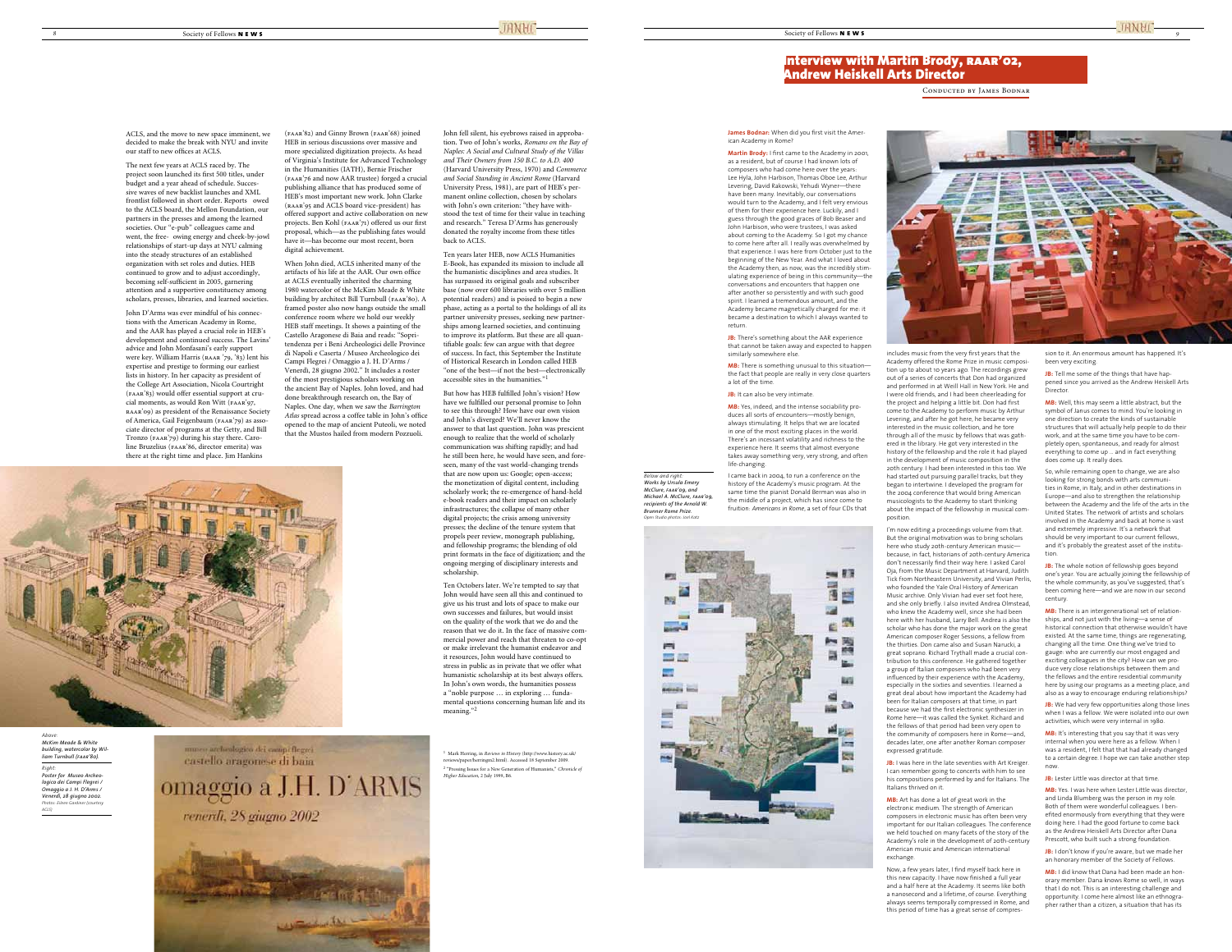Conducted by James Bodnar

John fell silent, his eyebrows raised in approbation. Two of John's works, *Romans on the Bay of Naples: A Social and Cultural Study of the Villas and Their Owners from 150 B.C. to A.D. 400* (Harvard University Press, 1970) and *Commerce and Social Standing in Ancient Rome* (Harvard University Press, 1981), are part of HEB's permanent online collection, chosen by scholars with John's own criterion: "they have withstood the test of time for their value in teaching and research." Teresa D'Arms has generously donated the royalty income from these titles back to ACLS.

Ten years later HEB, now ACLS Humanities E-Book, has expanded its mission to include all the humanistic disciplines and area studies. It has surpassed its original goals and subscriber base (now over 600 libraries with over 5 million potential readers) and is poised to begin a new phase, acting as a portal to the holdings of all its partner university presses, seeking new partnerships among learned societies, and continuing to improve its platform. But these are all quantifiable goals: few can argue with that degree of success. In fact, this September the Institute of Historical Research in London called HEB "one of the best—if not the best—electronically accessible sites in the humanities."1

Ten Octobers later. We're tempted to say that John would have seen all this and continued to give us his trust and lots of space to make our own successes and failures, but would insist on the quality of the work that we do and the reason that we do it. In the face of massive commercial power and reach that threaten to co-opt or make irrelevant the humanist endeavor and it resources, John would have continued to stress in public as in private that we offer what humanistic scholarship at its best always offers. In John's own words, the humanities possess a "noble purpose … in exploring … fundamental questions concerning human life and its meaning."<sup>2</sup>

But how has HEB fulfilled John's vision? How have we fulfilled our personal promise to John to see this through? How have our own vision and John's diverged? We'll never know the answer to that last question. John was prescient enough to realize that the world of scholarly communication was shifting rapidly; and had he still been here, he would have seen, and foreseen, many of the vast world-changing trends that are now upon us: Google; open-access; the monetization of digital content, including scholarly work; the re-emergence of hand-held e-book readers and their impact on scholarly infrastructures; the collapse of many other digital projects; the crisis among university presses; the decline of the tenure system that propels peer review, monograph publishing, and fellowship programs; the blending of old print formats in the face of digitization; and the ongoing merging of disciplinary interests and scholarship.

<sup>1</sup> Mark Herring, in *Reviews in History* (http://www.history.ac.uk/ reviews/paper/herringm2.html). Accessed 18 September 2009. 2 "Pressing Issues for a New Generation of Humanists," *Chronicle of Higher Education,* 2 July 1999, B6.

(faar'82) and Ginny Brown (faar'68) joined HEB in serious discussions over massive and more specialized digitization projects. As head of Virginia's Institute for Advanced Technology in the Humanities (IATH), Bernie Frischer (faar'76 and now AAR trustee) forged a crucial publishing alliance that has produced some of HEB's most important new work. John Clarke (raar'95 and ACLS board vice-president) has offered support and active collaboration on new projects. Ben Kohl (FAAR'71) offered us our first proposal, which—as the publishing fates would have it—has become our most recent, born digital achievement.

> **JB:** There's something about the AAR experience that cannot be taken away and expected to happen similarly somewhere else.

> **MB:** There is something unusual to this situation the fact that people are really in very close quarters a lot of the time.

**JB:** It can also be very intimate.

When John died, ACLS inherited many of the artifacts of his life at the AAR. Our own office at ACLS eventually inherited the charming 1980 watercolor of the McKim Meade & White building by architect Bill Turnbull (FAAR'80). A framed poster also now hangs outside the small conference room where we hold our weekly HEB staff meetings. It shows a painting of the Castello Aragonese di Baia and reads: "Sopritendenza per i Beni Archeologici delle Province di Napoli e Caserta / Museo Archeologico dei Campi Flegrei / Omaggio a J. H. D'Arms / Venerdì, 28 giugno 2002." It includes a roster of the most prestigious scholars working on the ancient Bay of Naples. John loved, and had done breakthrough research on, the Bay of Naples. One day, when we saw the *Barrington Atlas* spread across a coffee table in John's office opened to the map of ancient Puteoli, we noted that the Mustos hailed from modern Pozzuoli.



ACLS, and the move to new space imminent, we decided to make the break with NYU and invite our staff to new offices at ACLS.

The next few years at ACLS raced by. The project soon launched its first 500 titles, under budget and a year ahead of schedule. Successive waves of new backlist launches and XML frontlist followed in short order. Reports f owed to the ACLS board, the Mellon Foundation, our partners in the presses and among the learned societies. Our "e-pub" colleagues came and went, the free-f owing energy and cheek-by-jowl relationships of start-up days at NYU calming into the steady structures of an established organization with set roles and duties. HEB continued to grow and to adjust accordingly, becoming self-sufficient in 2005, garnering attention and a supportive constituency among scholars, presses, libraries, and learned societies.

> I'm now editing a proceedings volume from that. But the original motivation was to bring scholars here who study 20th-century American music because, in fact, historians of 20th-century America don't necessarily find their way here. I asked Carol Oja, from the Music Department at Harvard, Judith Tick from Northeastern University, and Vivian Perlis, who founded the Yale Oral History of American Music archive. Only Vivian had ever set foot here, and she only briefly. I also invited Andrea Olmstead, who knew the Academy well, since she had been here with her husband, Larry Bell. Andrea is also the scholar who has done the major work on the great American composer Roger Sessions, a fellow from the thirties. Don came also and Susan Narucki, a great soprano. Richard Trythall made a crucial contribution to this conference. He gathered together a group of Italian composers who had been very influenced by their experience with the Academy, especially in the sixties and seventies. I learned a great deal about how important the Academy had been for Italian composers at that time, in part because we had the first electronic synthesizer in Rome here—it was called the Synket. Richard and the fellows of that period had been very open to the community of composers here in Rome—and, decades later, one after another Roman composer expressed gratitude.

> **JB:** I was here in the late seventies with Art Kreiger. I can remember going to concerts with him to see his compositions performed by and for Italians. The Italians thrived on it.

**JB:** Tell me some of the things that have happened since you arrived as the Andrew Heiskell Arts Director.

John D'Arms was ever mindful of his connections with the American Academy in Rome, and the AAR has played a crucial role in HEB's development and continued success. The Lavins' advice and John Monfasani's early support were key. William Harris (RAAR '79, '83) lent his expertise and prestige to forming our earliest lists in history. In her capacity as president of the College Art Association, Nicola Courtright (faar'83) would offer essential support at crucial moments, as would Ron Witt (FAAR'97, raar'09) as president of the Renaissance Society of America, Gail Feigenbaum (faar'79) as associate director of programs at the Getty, and Bill Tronzo (FAAR'79) during his stay there. Caroline Bruzelius (faar'86, director emerita) was there at the right time and place. Jim Hankins

> **JB:** The whole notion of fellowship goes beyond one's year. You are actually joining the fellowship of the whole community, as you've suggested, that's been coming here—and we are now in our second century.

#### **James Bodnar:** When did you first visit the American Academy in Rome?

**JB:** We had very few opportunities along those lines when I was a fellow. We were isolated into our own activities, which were very internal in 1980.

**Martin Brody:** I first came to the Academy in 2001, as a resident, but of course I had known lots of composers who had come here over the years: Lee Hyla, John Harbison, Thomas Oboe Lee, Arthur Levering, David Rakowski, Yehudi Wyner—there have been many. Inevitably, our conversations would turn to the Academy, and I felt very envious of them for their experience here. Luckily, and I guess through the good graces of Bob Beaser and John Harbison, who were trustees, I was asked about coming to the Academy. So I got my chance to come here after all. I really was overwhelmed by that experience. I was here from October just to the beginning of the New Year. And what I loved about the Academy then, as now, was the incredibly stimulating experience of being in this community—the conversations and encounters that happen one after another so persistently and with such good spirit. I learned a tremendous amount, and the Academy became magnetically charged for me: it became a destination to which I always wanted to return.

> **MB:** Yes. I was here when Lester Little was director, and Linda Blumberg was the person in my role. Both of them were wonderful colleagues. I benefited enormously from everything that they were doing here. I had the good fortune to come back as the Andrew Heiskell Arts Director after Dana Prescott, who built such a strong foundation.

**JB:** I don't know if you're aware, but we made her an honorary member of the Society of Fellows.

**MB:** Yes, indeed, and the intense sociability produces all sorts of encounters—mostly benign, always stimulating. It helps that we are located in one of the most exciting places in the world. There's an incessant volatility and richness to the experience here. It seems that almost everyone takes away something very, very strong, and often life-changing.

I came back in 2004, to run a conference on the history of the Academy's music program. At the same time the pianist Donald Berman was also in the middle of a project, which has since come to fruition: *Americans in Rome*, a set of four CDs that



includes music from the very first years that the Academy offered the Rome Prize in music composition up to about 10 years ago. The recordings grew out of a series of concerts that Don had organized and performed in at Weill Hall in New York. He and I were old friends, and I had been cheerleading for the project and helping a little bit. Don had first come to the Academy to perform music by Arthur Levering, and after he got here, he became very interested in the music collection, and he tore through all of the music by fellows that was gathered in the library. He got very interested in the history of the fellowship and the role it had played in the development of music composition in the 20th century. I had been interested in this too. We had started out pursuing parallel tracks, but they began to intertwine. I developed the program for the 2004 conference that would bring American musicologists to the Academy to start thinking about the impact of the fellowship in musical composition.

**MB:** Art has done a lot of great work in the electronic medium. The strength of American composers in electronic music has often been very important for our Italian colleagues. The conference we held touched on many facets of the story of the Academy's role in the development of 20th-century American music and American international exchange.

Now, a few years later, I find myself back here in this new capacity. I have now finished a full year and a half here at the Academy. It seems like both a nanosecond and a lifetime, of course. Everything always seems temporally compressed in Rome, and this period of time has a great sense of compres-

sion to it. An enormous amount has happened. It's been very exciting.

**MB:** Well, this may seem a little abstract, but the symbol of Janus comes to mind. You're looking in one direction to create the kinds of sustainable structures that will actually help people to do their work, and at the same time you have to be completely open, spontaneous, and ready for almost everything to come up … and in fact everything does come up. It really does.

So, while remaining open to change, we are also looking for strong bonds with arts communities in Rome, in Italy, and in other destinations in Europe—and also to strengthen the relationship between the Academy and the life of the arts in the United States. The network of artists and scholars involved in the Academy and back at home is vast and extremely impressive. It's a network that should be very important to our current fellows, and it's probably the greatest asset of the institution.

**MB:** There is an intergenerational set of relationships, and not just with the living—a sense of historical connection that otherwise wouldn't have existed. At the same time, things are regenerating, changing all the time. One thing we've tried to gauge: who are currently our most engaged and exciting colleagues in the city? How can we produce very close relationships between them and the fellows and the entire residential community here by using our programs as a meeting place, and also as a way to encourage enduring relationships?

**MB:** It's interesting that you say that it was very internal when you were here as a fellow. When I was a resident, I felt that that had already changed to a certain degree. I hope we can take another step now.

**JB:** Lester Little was director at that time.

**MB:** I did know that Dana had been made an honorary member. Dana knows Rome so well, in ways that I do not. This is an interesting challenge and opportunity. I come here almost like an ethnographer rather than a citizen, a situation that has its

*Above: McKim Meade & White building, watercolor by William Turnbull (faar'80). Right: Poster for Museo Archeologico dei Campi Flegrei / Omaggio a J. H. D'Arms / Venerdì, 28 giugno 2002. Photos: Eileen Gardiner (courtesy ACLS)*

mineo archeologico dei campi flegrei castello aragonese di baia

omaggio a J.H. D'ARMS renerdì, 28 giugno 2002



*Below and right: Works by Ursula Emery McClure, faar'09, and Michael A. McClure, faar'09, recipients of the Arnold W. Brunner Rome Prize. Open Studio photos: Joel Katz*

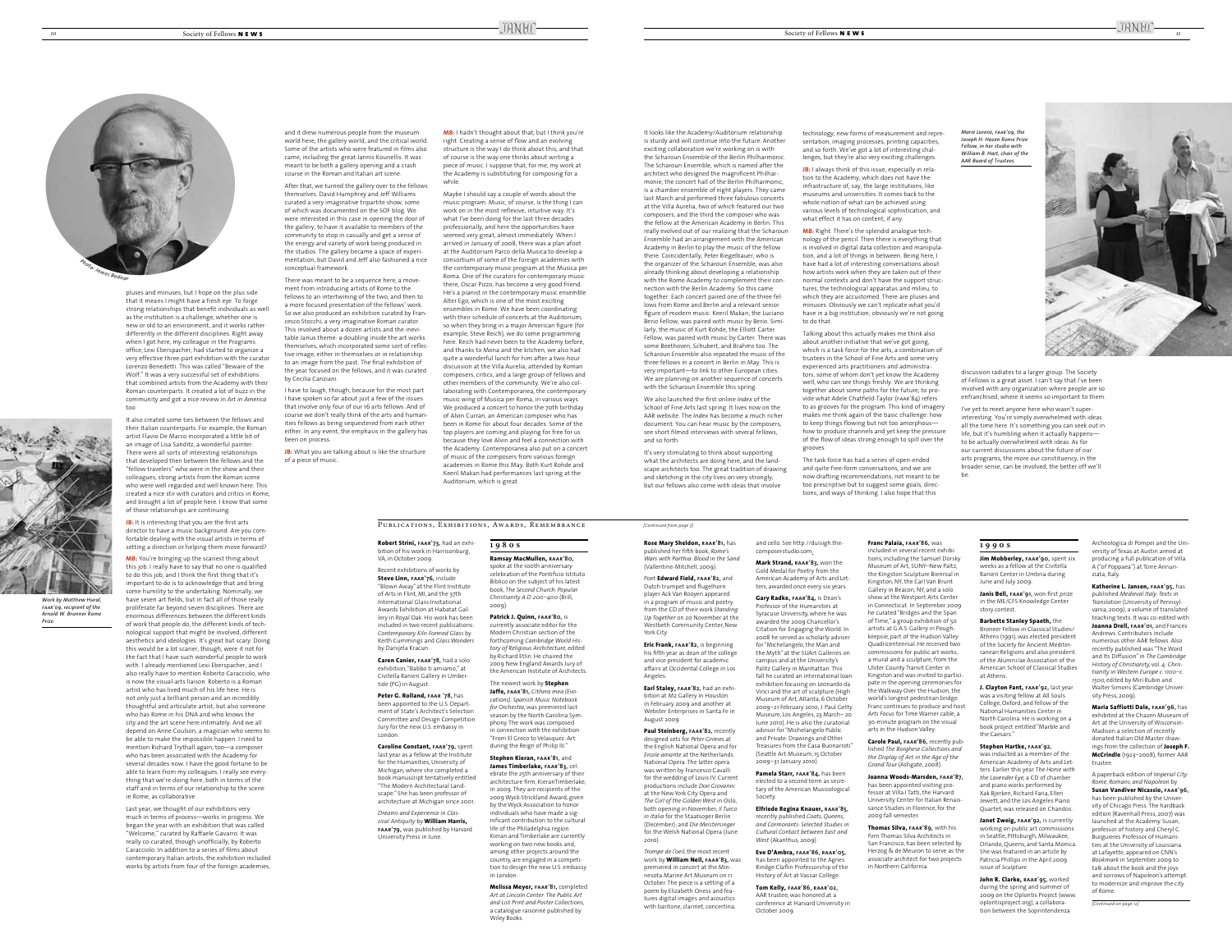#### **Robert Strini, faar'73,** had an exhibition of his work in Harrisonburg, VA, in October 2009. Recent exhibitions of works by

**Steve Linn, faar'76,** include "Blown Away" at the Flint Institute of Arts in Flint, MI, and the 37th International Glass Invitational Awards Exhibition at Habatat Gallery in Royal Oak. His work has been included in two recent publications: *Contemporary Kiln Formed Glass* by Keith Cummings and *Glass Wonders*  by Danijela Kracun.

**Caren Canier, faar'78,** had a solo exhibition, "Babbo ti amiamo," at Civitella Ranieri Gallery in Umbertide (PG) in August.

**Peter G. Rolland, faar '78,** has been appointed to the U.S. Department of State's Architect's Selection Committee and Design Competition Jury for the new U.S. embassy in London.

**Caroline Constant, faar'79,** spent last year as a fellow at the Institute for the Humanities, University of Michigan, where she completed a book manuscript tentatively entitled "The Modern Architectural Landscape." She has been professor of architecture at Michigan since 2001.

*Dreams and Experience in Classical Antiquity* by **William Harris, faar'79,** was published by Harvard University Press in June.

**1980s Ramsay MacMullen, raar'80,**  spoke at the 100th anniversary

celebration of the Pontificio Istituto Biblico on the subject of his latest book, *The Second Church: Popular Christianity A.D. 200–400* (Brill, 2009). **Patrick J. Quinn, faar'80,** is currently associate editor for the Modern Christian section of the

forthcoming *Cambridge World History of Religious Architecture,* edited by Richard Etlin. He chaired the 2009 New England Awards Jury of the American Institute of Architects.

The newest work by **Stephen** 

**Jaffe, faar'81,** *Cithera mea (Evocations): Spanish Music Notebook for Orchestra,* was premiered last season by the North Carolina Symphony. The work was composed in connection with the exhibition "From El Greco to Velasquez: Art during the Reign of Philip III."

**Stephen Kieran, faar'81,** and

**James Timberlake, faar'83,** celebrate the 25th anniversary of their architecture firm, KieranTimberlake, in 2009. They are recipients of the 2009 Wyck-Strickland Award, given by the Wyck Association to honor individuals who have made a significant contribution to the cultural life of the Philadelphia region. Kieran and Timberlake are currently working on two new books and, among other projects around the country, are engaged in a competition to design the new U.S. embassy in London.

**Melissa Meyer, faar'81,** completed *Art at Lincoln Center: The Public Art and List Print and Poster Collections,*  a catalogue raisonné published by Wiley Books.

**Rose Mary Sheldon, raar'81,** has

published her fifth book, *Rome's* 

*Wars with Parthia: Blood in the Sand*  (Vallentine-Mitchell, 2009). Poet **Edward Field, faar'82,** and

Dutch trumpet and flugelhorn player Ack Van Rooyen appeared in a program of music and poetry from the CD of their work *Standing Up Together* on 20 November at the Westbeth Community Center, New York City.

**Eric Frank, faar'82,** is beginning his fifth year as dean of the college and vice president for academic affairs at Occidental College in Los Angeles.

**Earl Staley, faar'82,** had an exhi-

bition at M2 Gallery in Houston in February 2009 and another at Webster Enterprises in Santa Fe in August 2009.

**Paul Steinberg, faar'82,** recently

designed sets for *Peter Grimes* at the English National Opera and for *Ercole amante* at the Netherlands National Opera. The latter opera was written by Francesco Cavalli for the wedding of Louis IV. Current productions include *Don Giovanni*  at the New York City Opera and *The Girl of the Golden West* in Oslo, both opening in November; *Il Turco in Italia* for the Staatsoper Berlin (December); and *Die Meistersinger*  for the Welsh National Opera (June 2010).

*Trompe de l'oeil,* the most recent work by **William Neil, faar'83,** was premiered in concert at the Minnesota Marine Art Museum on 11 October. The piece is a setting of a poem by Elizabeth Oness and features digital images and acoustics with baritone, clarinet, concertina,

#### and cello. See http://duisigh.thecomposerstudio.com.

**Mark Strand, raar'83,** won the Gold Medal for Poetry from the American Academy of Arts and Letters, awarded once every six years.

**Gary Radke, faar'84,** is Dean's Professor of the Humanities at Syracuse University, where he was awarded the 2009 Chancellor's Citation for Engaging the World. In 2008 he served as scholarly adviser for "Michelangelo, the Man and the Myth" at the SUArt Galleries on campus and at the University's Palitz Gallery in Manhattan. This fall he curated an international loan exhibition focusing on Leonardo da Vinci and the art of sculpture (High Museum of Art, Atlanta, 6 October 2009–21 February 2010; J. Paul Getty Museum, Los Angeles, 23 March– 20 June 2010). He is also the curatorial advisor for"Michelangelo Public and Private: Drawings and Other Treasures from the Casa Buonarroti" (Seattle Art Museum, 15 October 2009–31 January 2010).

**Pamela Starr, faar'84,** has been elected to a second term as secretary of the American Musicological Society.

**Elfriede Regina Knauer, raar'85,**  recently published *Coats, Queens, and Cormorants: Selected Studies in Cultural Contact between East and West* (Akanthus, 2009).

**Eve D'Ambra, faar'86, raar'05,**  has been appointed to the Agnes Rindge Claflin Professorship of the History of Art at Vassar College.

**Tom Kelly, faar'86, raar'02,**  AAR trustee, was honored at a conference at Harvard University in October 2009.

#### **Franc Palaia, faar'86,** was

included in several recent exhibitions, including the Samuel Dorsky Museum of Art, SUNY–New Paltz, the Kingston Sculpture Biennial in Kingston, NY, the Carl Van Brunt Gallery in Beacon, NY, and a solo show at the Westport Arts Center in Connecticut. In September 2009 he curated "Bridges and the Span of Time," a group exhibition of 50 artists at G.A.S. Gallery in Poughkeepsie, part of the Hudson Valley Quadricentennial. He received two commissions for public art works, a mural and a sculpture, from the Ulster County Transit Center in Kingston and was invited to participate in the opening ceremonies for the Walkway Over the Hudson, the world's longest pedestrian bridge. Franc continues to produce and host *Arts Focus* for Time Warner cable, a 30-minute program on the visual arts in the Hudson Valley.

**Carole Paul, faar'86,** recently published *The Borghese Collections and the Display of Art in the Age of the Grand Tour* (Ashgate, 2008).

**Joanna Woods-Marsden, faar'87,**  has been appointed visiting professor at Villa I Tatti, the Harvard University Center for Italian Renaissance Studies in Florence, for the 2009 fall semester.

**JB:** What you are talking about is like the structure of a piece of music.

> **Thomas Silva, faar'89,** with his firm Thomas Silva Architects in San Francisco, has been selected by Herzog & de Meuron to serve as the associate architect for two projects in Northern California.

#### **1990s**

**Jim Mobberley, faar'90,** spent six weeks as a fellow at the Civitella Ranieri Center in Umbria during June and July 2009.

**Janis Bell, faar'91,** won first prize in the ME/CFS Knowledge Center story contest.

**Barbette Stanley Spaeth,** the Broneer Fellow in Classical Studies/ Athens (1991), was elected president of the Society for Ancient Mediterranean Religions and also president of the Alumni/ae Association of the American School of Classical Studies at Athens.

**J. Clayton Fant, faar'92,** last year was a visiting fellow at All Souls College, Oxford, and fellow of the National Humanities Center in North Carolina. He is working on a book project entitled "Marble and the Caesars."

#### **Stephen Hartke, faar'92,**

was inducted as a member of the American Academy of Arts and Letters. Earlier this year *The Horse with the Lavender Eye,* a CD of chamber and piano works performed by Xak Bjerken, Richard Faria, Ellen Jewett, and the Los Angeles Piano Quartet, was released on Chandos.

**Janet Zweig, faar'92,** is currently working on public art commissions in Seattle, Pittsburgh, Milwaukee, Orlando, Queens, and Santa Monica. She was featured in an article by Patricia Phillips in the April 2009 issue of *Sculpture.*

**JB:** I always think of this issue, especially in relation to the Academy, which does not have the infrastructure of, say, the large institutions, like museums and universities. It comes back to the whole notion of what can be achieved using various levels of technological sophistication, and what effect it has on content, if any.

> **John R. Clarke, raar'95,** worked during the spring and summer of 2009 on the Oplontis Project (www. oplontisproject.org), a collaboration between the Soprintendenza

Archeologica di Pompei and the University of Texas at Austin aimed at producing a full publication of Villa A ("of Poppaea") at Torre Annunziata, Italy.

**Katherine L. Jansen, faar'95,** has published *Medieval Italy: Texts in Translation* (University of Pennsylvania, 2009), a volume of translated teaching texts. It was co-edited with **Joanna Drell, faar'01,** and Frances Andrews. Contributors include numerous other AAR fellows. Also recently published was "The Word and Its Diffusion" in *The Cambridge History of Christianity,* vol. 4: *Christianity in Western Europe c. 1100–c. 1500,* edited by Miri Rubin and Walter Simons (Cambridge University Press, 2009).

**Maria Saffiotti Dale, faar'96,** has exhibited at the Chazen Museum of Art at the University of Wisconsin-Madison a selection of recently donated Italian Old Master drawings from the collection of **Joseph F. McCrindle** (1923–2008), former AAR trustee.

A paperback edition of *Imperial City: Rome, Romans, and Napoleon* by **Susan Vandiver Nicassio, faar'96,**  has been published by the University of Chicago Press. The hardback edition (Ravenhall Press, 2007) was launched at the Academy Susan professor of history and Cheryl C. Burguieres Professor of Humanities at the University of Louisiana at Lafayette, appeared on CNN's *Bookmark* in September 2009 to talk about the book and the joys and sorrows of Napoleon's attempt to modernize and improve the city of Rome.

*[Continued on page 12]*

**MB:** I hadn't thought about that, but I think you're right. Creating a sense of flow and an evolving structure is the way I do think about this, and that of course is the way one thinks about writing a piece of music. I suppose that, for me, my work at the Academy is substituting for composing for a while.

Maybe I should say a couple of words about the music program. Music, of course, is the thing I can work on in the most reflexive, intuitive way. It's what I've been doing for the last three decades professionally, and here the opportunities have seemed very great, almost immediately. When I arrived in January of 2008, there was a plan afoot at the Auditorium Parco della Musica to develop a consortium of some of the foreign academies with the contemporary music program at the Musica per Roma. One of the curators for contemporary music there, Oscar Pizzo, has become a very good friend. He's a pianist in the contemporary music ensemble Alter Ego, which is one of the most exciting ensembles in Rome. We have been coordinating with their schedule of concerts at the Auditorium, so when they bring in a major American figure (for example, Steve Reich), we do some programming here. Reich had never been to the Academy before, and thanks to Mona and the kitchen, we also had quite a wonderful lunch for him after a two-hour discussion at the Villa Aurelia, attended by Roman composers, critics, and a large group of fellows and other members of the community. We're also collaborating with Contemporanea, the contemporary music wing of Musica per Roma, in various ways. We produced a concert to honor the 70th birthday of Alvin Curran, an American composer who has been in Rome for about four decades. Some of the top players are coming and playing for free for us because they love Alvin and feel a connection with the Academy. Contemporanea also put on a concert of music of the composers from various foreign academies in Rome this May. Both Kurt Rohde and Keeril Makan had performances last spring at the Auditorium, which is great.

and it drew numerous people from the museum world here, the gallery world, and the critical world. Some of the artists who were featured in films also came, including the great Jannis Kounellis. It was meant to be both a gallery opening and a crash course in the Roman and Italian art scene.

After that, we turned the gallery over to the fellows themselves. David Humphrey and Jeff Williams curated a very imaginative tripartite show, some of which was documented on the SOF blog. We were interested in this case in opening the door of the gallery, to have it available to members of the community to stop in casually and get a sense of the energy and variety of work being produced in the studios. The gallery became a space of experimentation, but David and Jeff also fashioned a nice conceptual framework.

There was meant to be a sequence here, a movement from introducing artists of Rome to the fellows to an intertwining of the two, and then to a more focused presentation of the fellows' work. So we also produced an exhibition curated by Francesco Stocchi, a very imaginative Roman curator. This involved about a dozen artists and the inevitable Janus theme: a doubling inside the art works themselves, which incorporated some sort of reflective image, either in themselves or in relationship to an image from the past. The final exhibition of the year focused on the fellows, and it was curated by Cecilia Canziani.

I have to laugh, though, because for the most part I have spoken so far about just a few of the issues that involve only four of our 16 arts fellows. And of course we don't really think of the arts and humanities fellows as being sequestered from each other either. In any event, the emphasis in the gallery has been on process.

It looks like the Academy/Auditorium relationship is sturdy and will continue into the future. Another exciting collaboration we're working on is with the Scharoun Ensemble of the Berlin Philharmonic. The Scharoun Ensemble, which is named after the architect who designed the magnificent Philharmonie, the concert hall of the Berlin Philharmonic, is a chamber ensemble of eight players. They came last March and performed three fabulous concerts at the Villa Aurelia, two of which featured our two composers, and the third the composer who was the fellow at the American Academy in Berlin. This really evolved out of our realizing that the Scharoun Ensemble had an arrangement with the American Academy in Berlin to play the music of the fellow there. Coincidentally, Peter Riegelbauer, who is the organizer of the Scharoun Ensemble, was also already thinking about developing a relationship with the Rome Academy to complement their connection with the Berlin Academy. So this came together. Each concert paired one of the three fellows from Rome and Berlin and a relevant senior figure of modern music. Keeril Makan, the Luciano Berio Fellow, was paired with music by Berio. Similarly, the music of Kurt Rohde, the Elliott Carter Fellow, was paired with music by Carter. There was some Beethoven, Schubert, and Brahms too. The Scharoun Ensemble also repeated the music of the three fellows in a concert in Berlin in May. This is very important—to link to other European cities.

We are planning on another sequence of concerts with the Scharoun Ensemble this spring.

We also launched the first online *Index* of the School of Fine Arts last spring. It lives now on the AAR website. The *Index* has become a much richer document. You can hear music by the composers, see short filmed interviews with several fellows, and so forth.

It's very stimulating to think about supporting what the architects are doing here, and the landscape architects too. The great tradition of drawing and sketching in the city lives on very strongly, but our fellows also come with ideas that involve

technology, new forms of measurement and representation, imaging processes, printing capacities, and so forth. We've got a lot of interesting challenges, but they're also very exciting challenges.

**MB:** Right. There's the splendid analogue technology of the pencil. Then there is everything that is involved in digital data collection and manipulation, and a lot of things in between. Being here, I have had a lot of interesting conversations about how artists work when they are taken out of their normal contexts and don't have the support structures, the technological apparatus and milieu, to which they are accustomed. There are pluses and minuses. Obviously we can't replicate what you'd have in a big institution; obviously we're not going to do that.

Talking about this actually makes me think also about another initiative that we've got going, which is a task force for the arts, a combination of trustees in the School of Fine Arts and some very experienced arts practitioners and administrators, some of whom don't yet know the Academy well, who can see things freshly. We are thinking together about some paths for the future, to provide what Adele Chatfield-Taylor (faar'84) refers to as grooves for the program. This kind of imagery makes me think again of the basic challenge: how to keep things flowing but not too amorphous how to produce channels and yet keep the pressure of the flow of ideas strong enough to spill over the grooves.

The task force has had a series of open-ended and quite free-form conversations, and we are now drafting recommendations, not meant to be too prescriptive but to suggest some goals, directions, and ways of thinking. I also hope that this

discussion radiates to a larger group. The Society of Fellows is a great asset. I can't say that I've been involved with any organization where people are so enfranchised, where it seems so important to them.

I've yet to meet anyone here who wasn't superinteresting. You're simply overwhelmed with ideas all the time here. It's something you can seek out in life, but it's humbling when it actually happens to be actually overwhelmed with ideas. As for our current discussions about the future of our arts programs, the more our constituency, in the broader sense, can be involved, the better off we'll be.



pluses and minuses, but I hope on the plus side that it means I might have a fresh eye. To forge strong relationships that benefit individuals as well as the institution is a challenge, whether one is new or old to an environment, and it works rather differently in the different disciplines. Right away when I got here, my colleague in the Programs office, Lexi Eberspacher, had started to organize a very effective three-part exhibition with the curator Lorenzo Benedetti. This was called "Beware of the Wolf." It was a very successful set of exhibitions that combined artists from the Academy with their Roman counterparts. It created a lot of buzz in the community and got a nice review in *Art in America* 

too. It also created some ties between the fellows and their Italian counterparts. For example, the Roman artist Flavio De Marco incorporated a little bit of an image of Lisa Sanditz, a wonderful painter. There were all sorts of interesting relationships that developed then between the fellows and the "fellow travelers" who were in the show and their colleagues, strong artists from the Roman scene who were well regarded and well known here. This created a nice stir with curators and critics in Rome, and brought a lot of people here. I know that some of those relationships are continuing.

**JB:** It is interesting that you are the first arts director to have a music background. Are you comfortable dealing with the visual artists in terms of setting a direction or helping them move forward?

**MB:** You're bringing up the scariest thing about this job. I really have to say that no one is qualified to do this job, and I think the first thing that it's important to do is to acknowledge that and bring some humility to the undertaking. Nominally, we have seven art fields, but in fact all of those really proliferate far beyond seven disciplines. There are enormous differences between the different kinds of work that people do, the different kinds of technological support that might be involved, different aesthetics and ideologies. It's great but scary. Doing this would be a lot scarier, though, were it not for the fact that I have such wonderful people to work with. I already mentioned Lexi Eberspacher, and I also really have to mention Roberto Caracciolo, who is now the visual-arts liaison. Roberto is a Roman artist who has lived much of his life here. He is pt only just a brilliant person and an incredib thoughtful and articulate artist, but also someone who has Rome in his DNA and who knows the city and the art scene here intimately. And we all depend on Anne Coulson, a magician who seems to be able to make the impossible happen. I need to mention Richard Trythall again, too—a composer who has been associated with the Academy for several decades now. I have the good fortune to be able to learn from my colleagues. I really see everything that we're doing here, both in terms of the staff and in terms of our relationship to the scene in Rome, as collaborative.

Last year, we thought of our exhibitions very much in terms of process—works in progress. We began the year with an exhibition that was called "Welcome," curated by Raffaele Gavarro. It was really co-curated, though unofficially, by Roberto Caracciolo. In addition to a series of films about contemporary Italian artists, the exhibition included works by artists from four of the foreign academies,



*Work by Matthew Hural, faar'09, recipient of the Arnold W. Brunner Rome Prize.*

*Marie Lorenz, faar'09, the Joseph H. Hazen Rome Prize Fellow, in her studio with William B. Hart, chair of the AAR Board of Trustees.*



#### Publications, Exhibitions, Awards, Remembrance *[Continued from page 7]*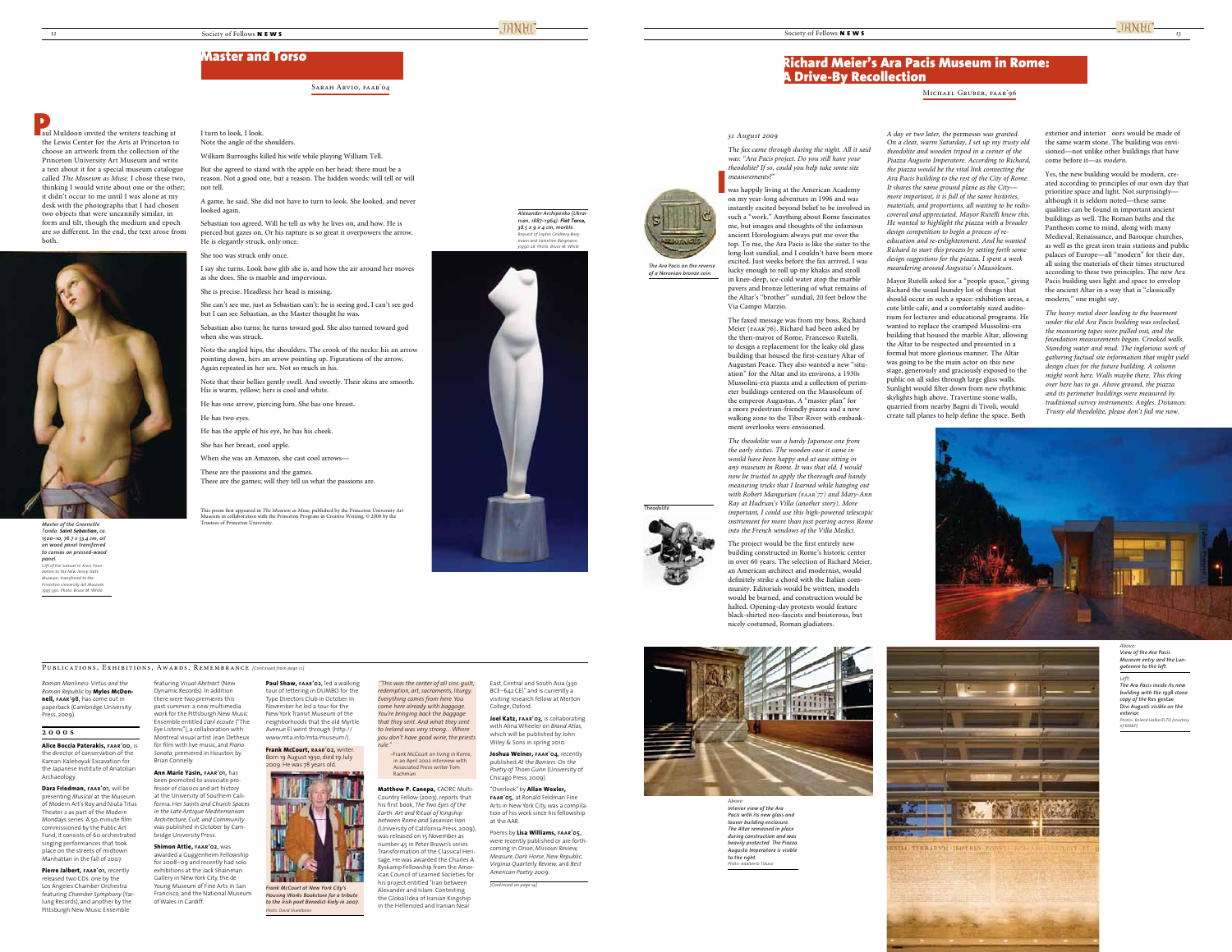*Roman Manliness: Virtus and the Roman Republic* by **Myles McDonnell, faar'98,** has come out in paperback (Cambridge University Press, 2009).

#### **2000s**

**Alice Boccia Paterakis, faar'00,** is the director of conservation of the Kaman-Kalehoyuk Excavation for the Japanese Institute of Anatolian Archaeology.

**Dara Friedman, faar'01,** will be presenting *Musical* at the Museum of Modern Art's Roy and Niuta Titus Theater 2 as part of the Modern Mondays series. A 50-minute film commissioned by the Public Art Fund, it consists of 60 orchestrated singing performances that took place on the streets of midtown Manhattan in the fall of 2007.

**Pierre Jalbert, faar'01,** recently released two CDs: one by the Los Angeles Chamber Orchestra featuring *Chamber Symphony* (Yarlung Records), and another by the Pittsburgh New Music Ensemble

featuring *Visual Abstract* (New Dynamic Records). In addition there were two premieres this past summer: a new multimedia work for the Pittsburgh New Music Ensemble entitled *L'œil écoute* ("The Eye Listens"), a collaboration with Montreal visual artist Jean Detheux for film with live music, and *Piano Sonata,* premiered in Houston by Brian Connelly.

**Ann Marie Yasin, faar'01,** has been promoted to associate professor of classics and art history at the University of Southern California. Her *Saints and Church Spaces in the Late Antique Mediterranean: Architecture, Cult, and Community*  was published in October by Cambridge University Press.

**Shimon Attie, faar'02,** was awarded a Guggenheim Fellowship for 2008–09 and recently had solo exhibitions at the Jack Shainman Gallery in New York City, the de Young Museum of Fine Arts in San Francisco, and the National Museum of Wales in Cardiff.

**Paul Shaw, faar'02,** led a walking tour of lettering in DUMBO for the Type Directors Club in October November he led a tour for the New York Transit Museum of the neighborhoods that the old Myrtle Avenue El went through (http:// www.mta.info/mta/museum/).

**Frank McCourt, raar'02,** writer. Born 19 August 1930, died 19 July 2009. He was 78 years old.



*Frank McCourt at New York City's Housing Works Bookstore for a tribute to the Irish poet Benedict Kiely in 2007. Photo: David Shankbone*

 *"This was the center of all sins: guilt, redemption, art, sacraments, liturgy. Everything comes from here. You come here already with baggage. You're bringing back the baggage that they sent. And what they sent to Ireland was very strong…. Where you don't have good wine, the priests rule."*

#### –Frank McCourt on living in Rome, in an April 2002 interview with Associated Press writer Tom Rachman

**Matthew P. Canepa,** CAORC Multi-Country Fellow (2003), reports that his first book, *The Two Eyes of the Earth: Art and Ritual of Kingship between Rome and Sasanian Iran*  (University of California Press, 2009), was released on 15 November as number 45 in Peter Brown's series Transformation of the Classical Heritage. He was awarded the Charles A. Ryskamp Fellowship from the American Council of Learned Societies for his project entitled "Iran between Alexander and Islam: Contesting the Global Idea of Iranian Kingship in the Hellenized and Iranian Near

East, Central and South Asia (330 BCE–642 CE)" and is currently a visiting research fellow at Merton

College, Oxford.

**Joel Katz, faar'03,** is collaborating with Alina Wheeler on *Brand Atlas,*  which will be published by John Wiley & Sons in spring 2010. **Joshua Weiner, faar'04,** recently published *At the Barriers: On the Poetry of Thom Gunn* (University of

Chicago Press, 2009).

"Overlook" by **Allan Wexler, faar'05,** at Ronald Feldman Fine Arts in New York City, was a compilation of his work since his fellowship at the AAR.

Poems by **Lisa Williams, faar'05,**  were recently published or are forthcoming in *Orion, Missouri Review, Measure, Dark Horse, New Republic, Virginia Quarterly Review,* and *Best American Poetry 2009.*



*Tondo: Saint Sebastian, ca. 1500–10, 76.7 x 53.4 cm, oil on wood panel transferred to canvas on pressed-wood panel. Gift of the Samuel H. Kress Foundation to the New Jersey State Museum; transferred to the Princeton University Art Museum, 1995-330. Photo: Bruce M. White*

I turn to look, I look. Note the angle of the shoulders.

William Burroughs killed his wife while playing William Tell.

But she agreed to stand with the apple on her head; there must be a reason. Not a good one, but a reason. The hidden words: will tell or will not tell.

A game, he said. She did not have to turn to look. She looked, and never looked again.

exterior and interior f oors would be made of the same warm stone. The building was envisioned—not unlike other buildings that have come before it—as *modern*.

Sebastian too agreed. Will he tell us why he lives on, and how. He is pierced but gazes on. Or his rapture is so great it overpowers the arrow. He is elegantly struck, only once.

She too was struck only once.

I say she turns. Look how glib she is, and how the air around her moves as she does. She is marble and impervious.

She is precise. Headless: her head is missing.

She can't see me, just as Sebastian can't: he is seeing god. I can't see god but I can see Sebastian, as the Master thought he was.

Sebastian also turns; he turns toward god. She also turned toward god when she was struck.

Note the angled hips, the shoulders. The crook of the necks: his an arrow pointing down, hers an arrow pointing up. Figurations of the arrow. Again repeated in her sex. Not so much in his.

Note that their bellies gently swell. And sweetly. Their skins are smooth. His is warm, yellow; hers is cool and white.

He has one arrow, piercing him. She has one breast.

He has two eyes. He has the apple of his eye, he has his cheek.

She has her breast, cool apple.

When she was an Amazon, she cast cool arrows—

These are the passions and the games.

These are the games; will they tell us what the passions are.

This poem first appeared in *The Museum as Muse,* published by the Princeton University Art Museum in collaboration with the Princeton Program in Creative Writing, © 2008 by the Trustees of Princeton University.

#### PUBLICATIONS, EXHIBITIONS, AWARDS, REMEMBRANCE *[Continued from page 12]*

## Master and Torso

P<br>aul<br>the

*Alexander Archipenko (Ukrainian, 1887–1964): Flat Torso, 38.5 x 9 x 4 cm, marble. Bequest of Sophie Goldberg Bargmann and Valentine Bargmann, y1990-28. Photo: Bruce M. White*



aul Muldoon invited the writers teaching at the Lewis Center for the Arts at Princeton to choose an artwork from the collection of the Princeton University Art Museum and write a text about it for a special museum catalogue called *The Museum as Muse.* I chose these two, thinking I would write about one or the other; it didn't occur to me until I was alone at my desk with the photographs that I had chosen two objects that were uncannily similar, in form and tilt, though the medium and epoch are so different. In the end, the text arose from both.

#### Michael Gruber, faar'96

# Richard Meier's Ara Pacis Museum in Rome: A Drive-By Recollection

#### *31 August 2009*

*The fax came through during the night. All it said was: "Ara Pacis project. Do you still have your theodolite? If so, could you help take some site measurements?"* 

was happily living at the American Academy on my year-long adventure in 1996 and was instantly excited beyond belief to be involved in such a "work." Anything about Rome fascinates me, but images and thoughts of the infamous ancient Horologium always put me over the top. To me, the Ara Pacis is like the sister to the long-lost sundial, and I couldn't have been more excited. Just weeks before the fax arrived, I was lucky enough to roll up my khakis and stroll in knee-deep, ice-cold water atop the marble pavers and bronze lettering of what remains of the Altar's "brother" sundial, 20 feet below the Via Campo Marzio.

The faxed message was from my boss, Richard Meier (FAAR'76). Richard had been asked by the then-mayor of Rome, Francesco Rutelli, to design a replacement for the leaky old glass building that housed the first-century Altar of Augustan Peace. They also wanted a new "situation" for the Altar and its environs, a 1930s Mussolini-era piazza and a collection of perimeter buildings centered on the Mausoleum of the emperor Augustus. A "master plan" for a more pedestrian-friendly piazza and a new walking zone to the Tiber River with embankment overlooks were envisioned.

*The theodolite was a hardy Japanese one from the early sixties. The wooden case it came in would have been happy and at ease sitting in any museum in Rome. It was that old. I would now be trusted to apply the thorough and handy measuring tricks that I learned while hanging out with Robert Mangurian (faar'77) and Mary-Ann Ray at Hadrian's Villa (another story). More important, I could use this high-powered telescopic instrument for more than just peering across Rome into the French windows of the Villa Medici.*

The project would be the first entirely new building constructed in Rome's historic center in over 60 years. The selection of Richard Meier, an American architect and modernist, would definitely strike a chord with the Italian community. Editorials would be written, models would be burned, and construction would be halted. Opening-day protests would feature black-shirted neo-fascists and boisterous, but nicely costumed, Roman gladiators.

Yes, the new building would be modern, created according to principles of our own day that prioritize space and light. Not surprisingly although it is seldom noted—these same qualities can be found in important ancient buildings as well. The Roman baths and the Pantheon come to mind, along with many Medieval, Renaissance, and Baroque churches, as well as the great iron train stations and public palaces of Europe—all "modern" for their day, all using the materials of their times structured according to these two principles. The new Ara Pacis building uses light and space to envelop the ancient Altar in a way that is "classically modern," one might say.

*The heavy metal door leading to the basement under the old Ara Pacis building was unlocked, the measuring tapes were pulled out, and the foundation measurements began. Crooked walls. Standing water and mud. The inglorious work of gathering factual site information that might yield design clues for the future building. A column might work here. Walls maybe there. This thing over here has to go. Above ground, the piazza and its perimeter buildings were measured by traditional survey instruments. Angles. Distances. Trusty old theodolite, please don't fail me now.*





*A day or two later, the* permesso *was granted. On a clear, warm Saturday, I set up my trusty old theodolite and wooden tripod in a corner of the Piazza Augusto Imperatore. According to Richard, the piazza would be the vital link connecting the Ara Pacis building to the rest of the City of Rome. It shares the same ground plane as the City more important, it is full of the same histories, materials, and proportions, all waiting to be rediscovered and appreciated. Mayor Rutelli knew this. He wanted to highlight the piazza with a broader design competition to begin a process of reeducation and re-enlightenment. And he wanted Richard to start this process by setting forth some design suggestions for the piazza. I spent a week meandering around Augustus's Mausoleum.*

Mayor Rutelli asked for a "people space," giving Richard the usual laundry list of things that should occur in such a space: exhibition areas, a cute little café, and a comfortably sized auditorium for lectures and educational programs. He wanted to replace the cramped Mussolini-era building that housed the marble Altar, allowing the Altar to be respected and presented in a formal but more glorious manner. The Altar was going to be the main actor on this new stage, generously and graciously exposed to the public on all sides through large glass walls. Sunlight would filter down from new rhythmic skylights high above. Travertine stone walls, quarried from nearby Bagni di Tivoli, would create tall planes to help define the space. Both

# *The Ara Pacis on the reverse of a Neronian bronze coin.*





*Above: Interior view of the Ara Pacis with its new glass and louver building enclosure. The Altar remained in place during construction and was heavily protected. The Piazza Augusto Imperatore is visible to the right. Photo: Adalberto Tiburzi*



*Above: View of the Ara Pacis Museum entry and the Lungotevere to the left.* 

*Left: The Ara Pacis inside its new building with the 1938 stone copy of the* Res gestae Divi Augusti *visible on the exterior. Photos: Roland Halbe/ESTO (courtesy of RM&P).*

*[Continued on page 14]*



I